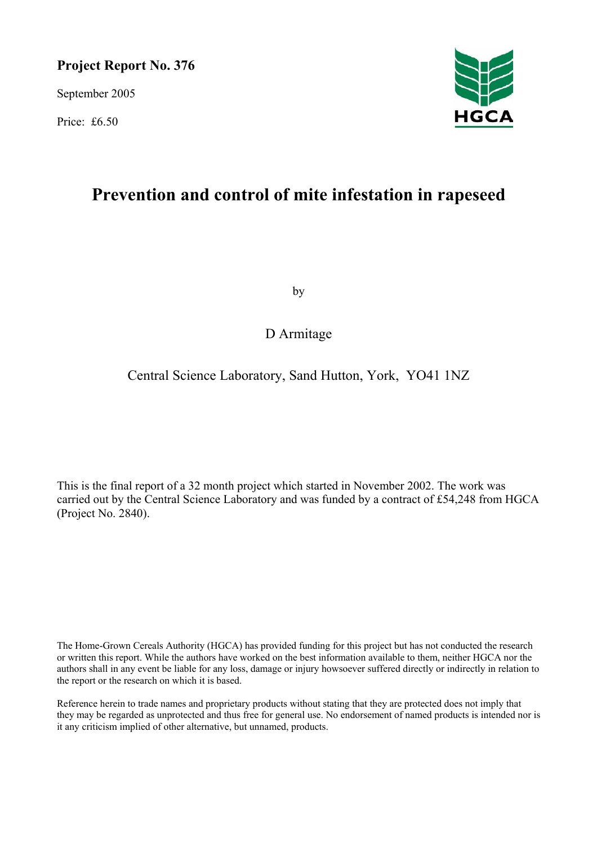### **Project Report No. 376**

September 2005

Price: £6.50



# **Prevention and control of mite infestation in rapeseed**

by

### D Armitage

### Central Science Laboratory, Sand Hutton, York, YO41 1NZ

This is the final report of a 32 month project which started in November 2002. The work was carried out by the Central Science Laboratory and was funded by a contract of £54,248 from HGCA (Project No. 2840).

The Home-Grown Cereals Authority (HGCA) has provided funding for this project but has not conducted the research or written this report. While the authors have worked on the best information available to them, neither HGCA nor the authors shall in any event be liable for any loss, damage or injury howsoever suffered directly or indirectly in relation to the report or the research on which it is based.

Reference herein to trade names and proprietary products without stating that they are protected does not imply that they may be regarded as unprotected and thus free for general use. No endorsement of named products is intended nor is it any criticism implied of other alternative, but unnamed, products.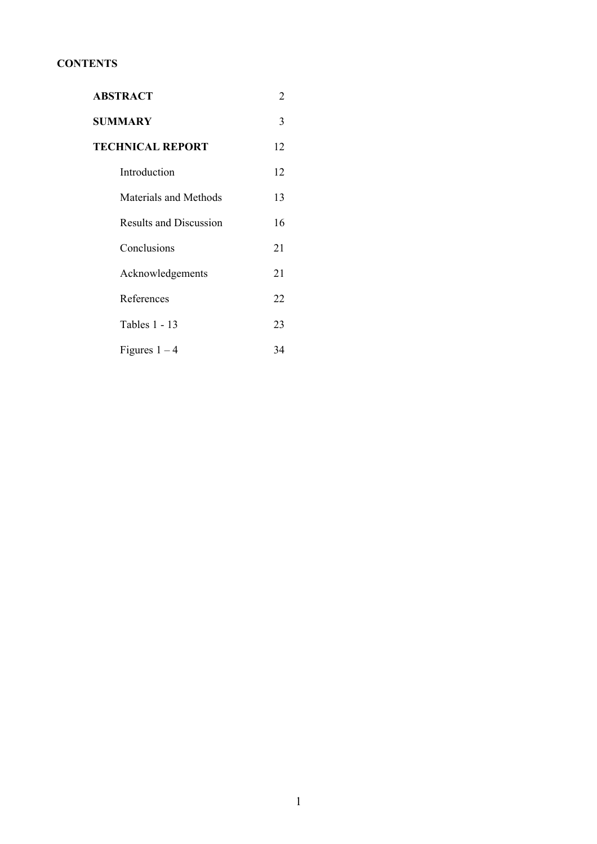### **CONTENTS**

| <b>ABSTRACT</b>               | 2  |
|-------------------------------|----|
| <b>SUMMARY</b>                | 3  |
| <b>TECHNICAL REPORT</b>       | 12 |
| Introduction                  | 12 |
| Materials and Methods         | 13 |
| <b>Results and Discussion</b> | 16 |
| Conclusions                   | 21 |
| Acknowledgements              | 21 |
| References                    | 22 |
| Tables 1 - 13                 | 23 |
| Figures $1 - 4$               | 34 |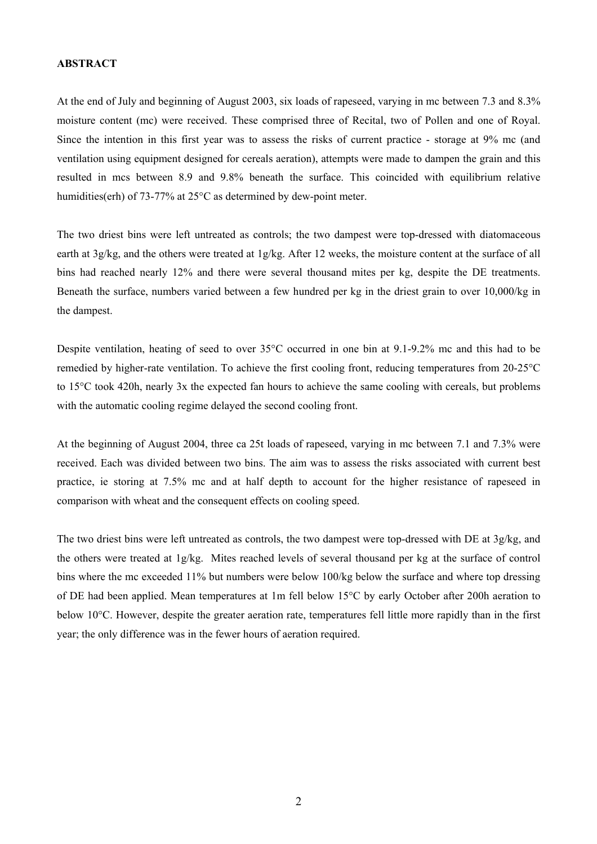#### **ABSTRACT**

At the end of July and beginning of August 2003, six loads of rapeseed, varying in mc between 7.3 and 8.3% moisture content (mc) were received. These comprised three of Recital, two of Pollen and one of Royal. Since the intention in this first year was to assess the risks of current practice - storage at 9% mc (and ventilation using equipment designed for cereals aeration), attempts were made to dampen the grain and this resulted in mcs between 8.9 and 9.8% beneath the surface. This coincided with equilibrium relative humidities(erh) of 73-77% at 25°C as determined by dew-point meter.

The two driest bins were left untreated as controls; the two dampest were top-dressed with diatomaceous earth at 3g/kg, and the others were treated at 1g/kg. After 12 weeks, the moisture content at the surface of all bins had reached nearly 12% and there were several thousand mites per kg, despite the DE treatments. Beneath the surface, numbers varied between a few hundred per kg in the driest grain to over 10,000/kg in the dampest.

Despite ventilation, heating of seed to over 35°C occurred in one bin at 9.1-9.2% mc and this had to be remedied by higher-rate ventilation. To achieve the first cooling front, reducing temperatures from 20-25°C to 15°C took 420h, nearly 3x the expected fan hours to achieve the same cooling with cereals, but problems with the automatic cooling regime delayed the second cooling front.

At the beginning of August 2004, three ca 25t loads of rapeseed, varying in mc between 7.1 and 7.3% were received. Each was divided between two bins. The aim was to assess the risks associated with current best practice, ie storing at 7.5% mc and at half depth to account for the higher resistance of rapeseed in comparison with wheat and the consequent effects on cooling speed.

The two driest bins were left untreated as controls, the two dampest were top-dressed with DE at 3g/kg, and the others were treated at 1g/kg. Mites reached levels of several thousand per kg at the surface of control bins where the mc exceeded 11% but numbers were below 100/kg below the surface and where top dressing of DE had been applied. Mean temperatures at 1m fell below 15°C by early October after 200h aeration to below 10°C. However, despite the greater aeration rate, temperatures fell little more rapidly than in the first year; the only difference was in the fewer hours of aeration required.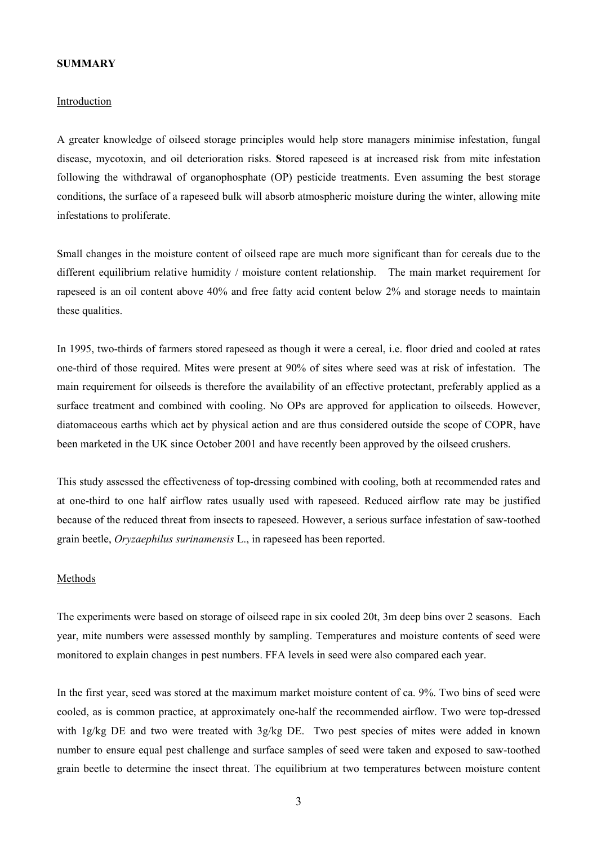#### **SUMMARY**

#### Introduction

A greater knowledge of oilseed storage principles would help store managers minimise infestation, fungal disease, mycotoxin, and oil deterioration risks. **S**tored rapeseed is at increased risk from mite infestation following the withdrawal of organophosphate (OP) pesticide treatments. Even assuming the best storage conditions, the surface of a rapeseed bulk will absorb atmospheric moisture during the winter, allowing mite infestations to proliferate.

Small changes in the moisture content of oilseed rape are much more significant than for cereals due to the different equilibrium relative humidity / moisture content relationship. The main market requirement for rapeseed is an oil content above 40% and free fatty acid content below 2% and storage needs to maintain these qualities.

In 1995, two-thirds of farmers stored rapeseed as though it were a cereal, i.e. floor dried and cooled at rates one-third of those required. Mites were present at 90% of sites where seed was at risk of infestation. The main requirement for oilseeds is therefore the availability of an effective protectant, preferably applied as a surface treatment and combined with cooling. No OPs are approved for application to oilseeds. However, diatomaceous earths which act by physical action and are thus considered outside the scope of COPR, have been marketed in the UK since October 2001 and have recently been approved by the oilseed crushers.

This study assessed the effectiveness of top-dressing combined with cooling, both at recommended rates and at one-third to one half airflow rates usually used with rapeseed. Reduced airflow rate may be justified because of the reduced threat from insects to rapeseed. However, a serious surface infestation of saw-toothed grain beetle, *Oryzaephilus surinamensis* L., in rapeseed has been reported.

#### Methods

The experiments were based on storage of oilseed rape in six cooled 20t, 3m deep bins over 2 seasons. Each year, mite numbers were assessed monthly by sampling. Temperatures and moisture contents of seed were monitored to explain changes in pest numbers. FFA levels in seed were also compared each year.

In the first year, seed was stored at the maximum market moisture content of ca. 9%. Two bins of seed were cooled, as is common practice, at approximately one-half the recommended airflow. Two were top-dressed with 1g/kg DE and two were treated with 3g/kg DE. Two pest species of mites were added in known number to ensure equal pest challenge and surface samples of seed were taken and exposed to saw-toothed grain beetle to determine the insect threat. The equilibrium at two temperatures between moisture content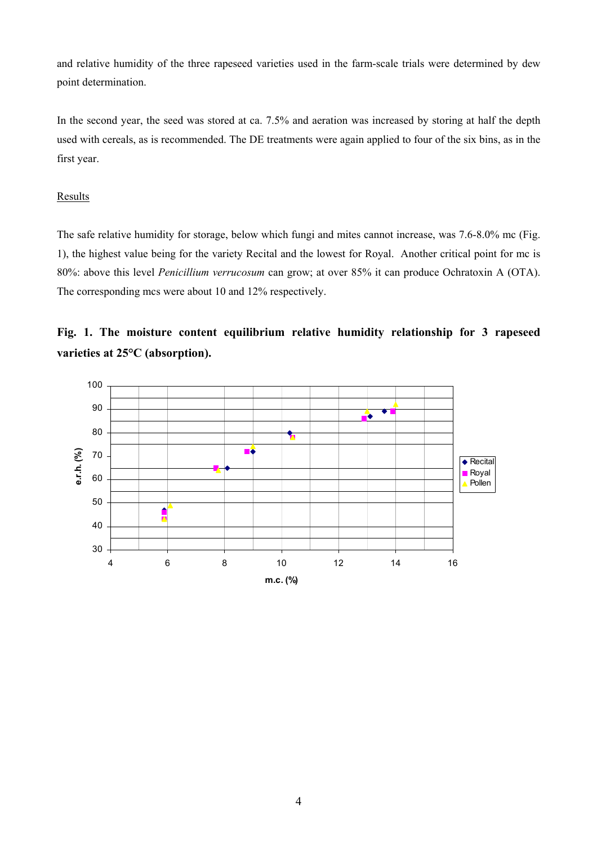and relative humidity of the three rapeseed varieties used in the farm-scale trials were determined by dew point determination.

In the second year, the seed was stored at ca. 7.5% and aeration was increased by storing at half the depth used with cereals, as is recommended. The DE treatments were again applied to four of the six bins, as in the first year.

### Results

The safe relative humidity for storage, below which fungi and mites cannot increase, was 7.6-8.0% mc (Fig. 1), the highest value being for the variety Recital and the lowest for Royal. Another critical point for mc is 80%: above this level *Penicillium verrucosum* can grow; at over 85% it can produce Ochratoxin A (OTA). The corresponding mcs were about 10 and 12% respectively.



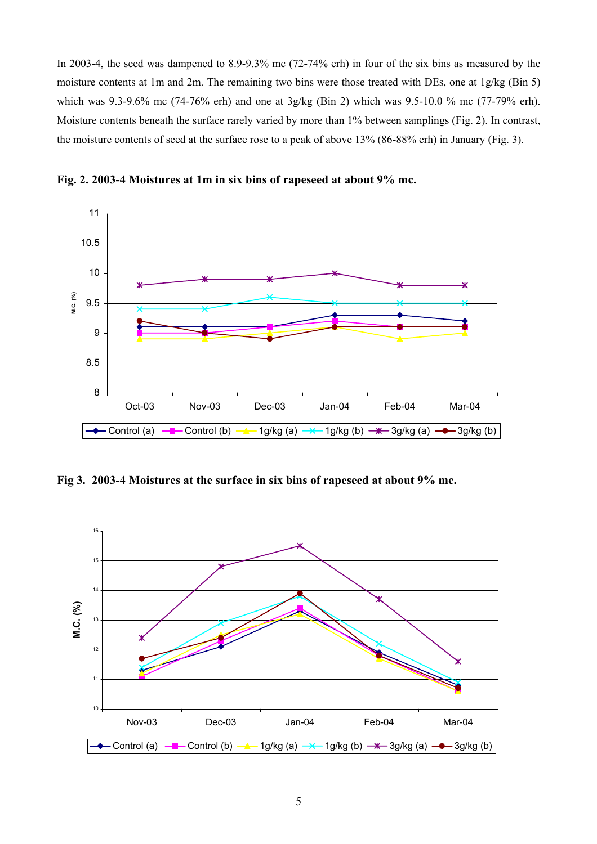In 2003-4, the seed was dampened to 8.9-9.3% mc (72-74% erh) in four of the six bins as measured by the moisture contents at 1m and 2m. The remaining two bins were those treated with DEs, one at 1g/kg (Bin 5) which was 9.3-9.6% mc (74-76% erh) and one at 3g/kg (Bin 2) which was 9.5-10.0 % mc (77-79% erh). Moisture contents beneath the surface rarely varied by more than 1% between samplings (Fig. 2). In contrast, the moisture contents of seed at the surface rose to a peak of above 13% (86-88% erh) in January (Fig. 3).



**Fig. 2. 2003-4 Moistures at 1m in six bins of rapeseed at about 9% mc.** 

**Fig 3. 2003-4 Moistures at the surface in six bins of rapeseed at about 9% mc.** 

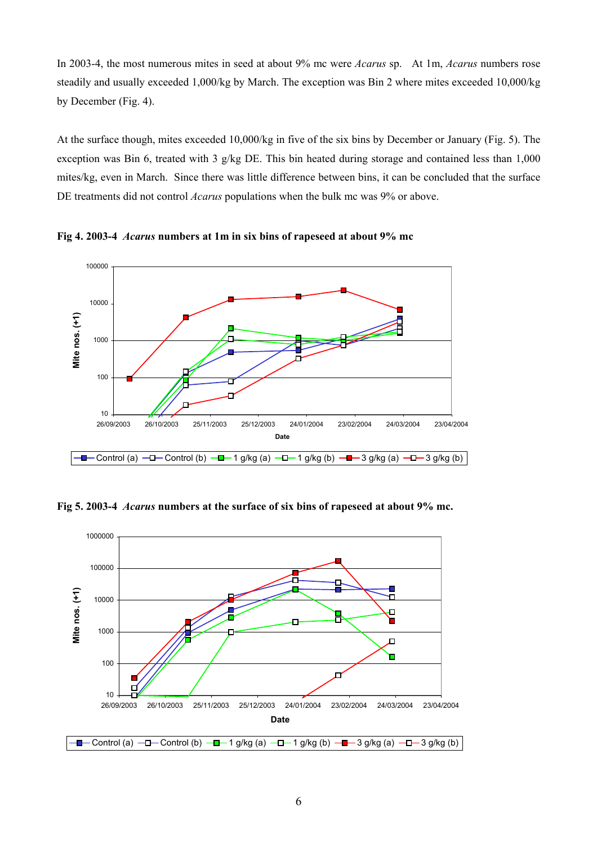In 2003-4, the most numerous mites in seed at about 9% mc were *Acarus* sp. At 1m, *Acarus* numbers rose steadily and usually exceeded 1,000/kg by March. The exception was Bin 2 where mites exceeded 10,000/kg by December (Fig. 4).

At the surface though, mites exceeded 10,000/kg in five of the six bins by December or January (Fig. 5). The exception was Bin 6, treated with 3 g/kg DE. This bin heated during storage and contained less than 1,000 mites/kg, even in March. Since there was little difference between bins, it can be concluded that the surface DE treatments did not control *Acarus* populations when the bulk mc was 9% or above.



**Fig 4. 2003-4** *Acarus* **numbers at 1m in six bins of rapeseed at about 9% mc**

**Fig 5. 2003-4** *Acarus* **numbers at the surface of six bins of rapeseed at about 9% mc.** 

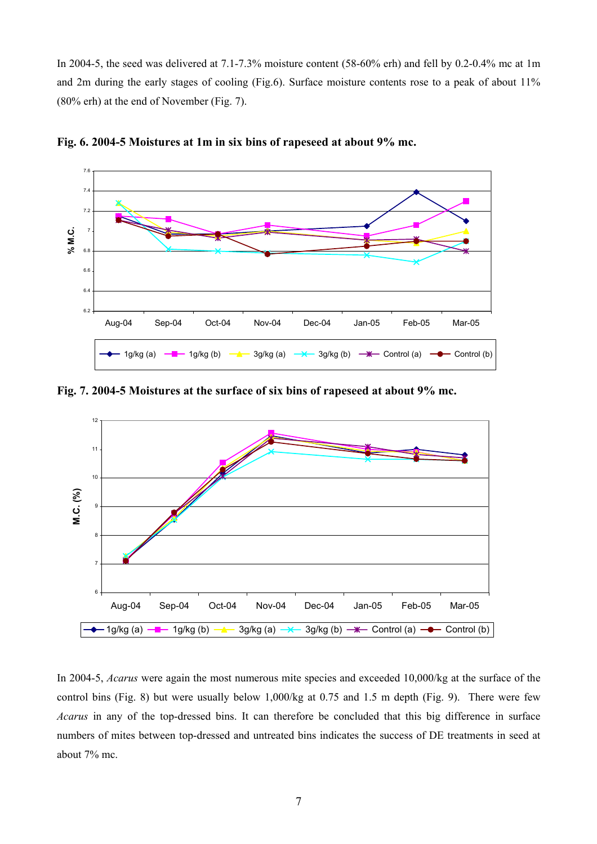In 2004-5, the seed was delivered at 7.1-7.3% moisture content (58-60% erh) and fell by 0.2-0.4% mc at 1m and 2m during the early stages of cooling (Fig.6). Surface moisture contents rose to a peak of about 11% (80% erh) at the end of November (Fig. 7).



**Fig. 6. 2004-5 Moistures at 1m in six bins of rapeseed at about 9% mc.**

**Fig. 7. 2004-5 Moistures at the surface of six bins of rapeseed at about 9% mc.** 



In 2004-5, *Acarus* were again the most numerous mite species and exceeded 10,000/kg at the surface of the control bins (Fig. 8) but were usually below 1,000/kg at 0.75 and 1.5 m depth (Fig. 9). There were few *Acarus* in any of the top-dressed bins. It can therefore be concluded that this big difference in surface numbers of mites between top-dressed and untreated bins indicates the success of DE treatments in seed at about 7% mc.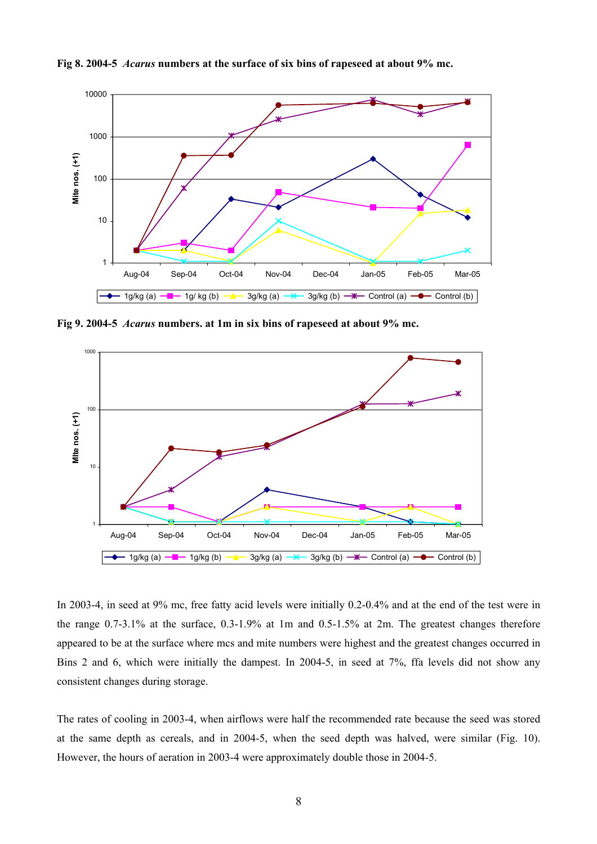

**Fig 8. 2004-5** *Acarus* **numbers at the surface of six bins of rapeseed at about 9% mc.** 

**Fig 9. 2004-5** *Acarus* **numbers. at 1m in six bins of rapeseed at about 9% mc.** 



In 2003-4, in seed at 9% mc, free fatty acid levels were initially 0.2-0.4% and at the end of the test were in the range 0.7-3.1% at the surface, 0.3-1.9% at 1m and 0.5-1.5% at 2m. The greatest changes therefore appeared to be at the surface where mcs and mite numbers were highest and the greatest changes occurred in Bins 2 and 6, which were initially the dampest. In 2004-5, in seed at 7%, ffa levels did not show any consistent changes during storage.

The rates of cooling in 2003-4, when airflows were half the recommended rate because the seed was stored at the same depth as cereals, and in 2004-5, when the seed depth was halved, were similar (Fig. 10). However, the hours of aeration in 2003-4 were approximately double those in 2004-5.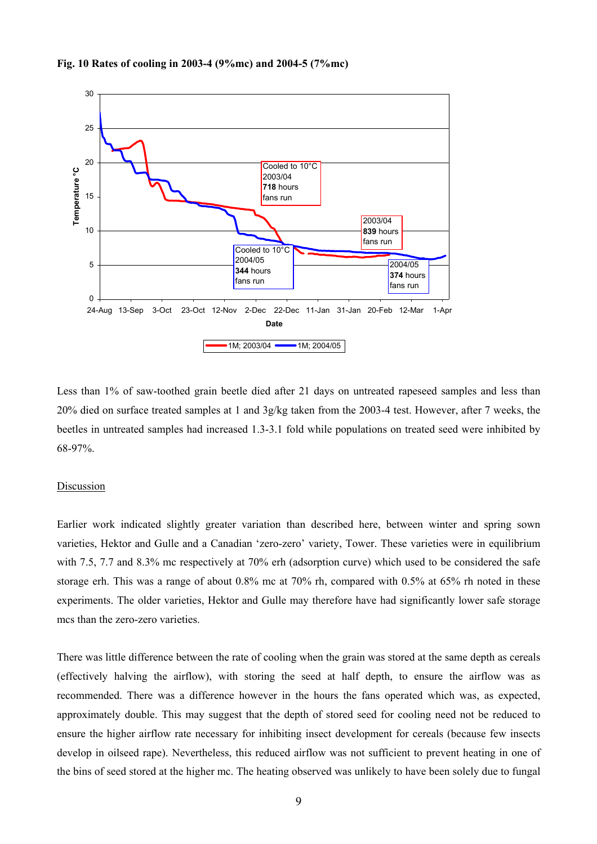



Less than 1% of saw-toothed grain beetle died after 21 days on untreated rapeseed samples and less than 20% died on surface treated samples at 1 and 3g/kg taken from the 2003-4 test. However, after 7 weeks, the beetles in untreated samples had increased 1.3-3.1 fold while populations on treated seed were inhibited by 68-97%.

#### Discussion

Earlier work indicated slightly greater variation than described here, between winter and spring sown varieties, Hektor and Gulle and a Canadian 'zero-zero' variety, Tower. These varieties were in equilibrium with 7.5, 7.7 and 8.3% mc respectively at 70% erh (adsorption curve) which used to be considered the safe storage erh. This was a range of about 0.8% mc at 70% rh, compared with 0.5% at 65% rh noted in these experiments. The older varieties, Hektor and Gulle may therefore have had significantly lower safe storage mcs than the zero-zero varieties.

There was little difference between the rate of cooling when the grain was stored at the same depth as cereals (effectively halving the airflow), with storing the seed at half depth, to ensure the airflow was as recommended. There was a difference however in the hours the fans operated which was, as expected, approximately double. This may suggest that the depth of stored seed for cooling need not be reduced to ensure the higher airflow rate necessary for inhibiting insect development for cereals (because few insects develop in oilseed rape). Nevertheless, this reduced airflow was not sufficient to prevent heating in one of the bins of seed stored at the higher mc. The heating observed was unlikely to have been solely due to fungal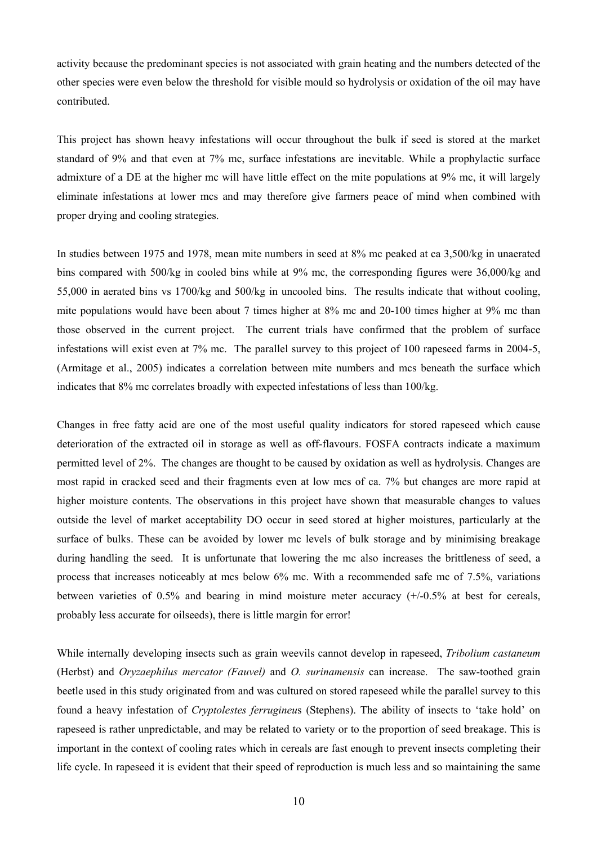activity because the predominant species is not associated with grain heating and the numbers detected of the other species were even below the threshold for visible mould so hydrolysis or oxidation of the oil may have contributed.

This project has shown heavy infestations will occur throughout the bulk if seed is stored at the market standard of 9% and that even at 7% mc, surface infestations are inevitable. While a prophylactic surface admixture of a DE at the higher mc will have little effect on the mite populations at 9% mc, it will largely eliminate infestations at lower mcs and may therefore give farmers peace of mind when combined with proper drying and cooling strategies.

In studies between 1975 and 1978, mean mite numbers in seed at 8% mc peaked at ca 3,500/kg in unaerated bins compared with 500/kg in cooled bins while at 9% mc, the corresponding figures were 36,000/kg and 55,000 in aerated bins vs 1700/kg and 500/kg in uncooled bins. The results indicate that without cooling, mite populations would have been about 7 times higher at 8% mc and 20-100 times higher at 9% mc than those observed in the current project. The current trials have confirmed that the problem of surface infestations will exist even at 7% mc. The parallel survey to this project of 100 rapeseed farms in 2004-5, (Armitage et al., 2005) indicates a correlation between mite numbers and mcs beneath the surface which indicates that 8% mc correlates broadly with expected infestations of less than 100/kg.

Changes in free fatty acid are one of the most useful quality indicators for stored rapeseed which cause deterioration of the extracted oil in storage as well as off-flavours. FOSFA contracts indicate a maximum permitted level of 2%. The changes are thought to be caused by oxidation as well as hydrolysis. Changes are most rapid in cracked seed and their fragments even at low mcs of ca. 7% but changes are more rapid at higher moisture contents. The observations in this project have shown that measurable changes to values outside the level of market acceptability DO occur in seed stored at higher moistures, particularly at the surface of bulks. These can be avoided by lower mc levels of bulk storage and by minimising breakage during handling the seed. It is unfortunate that lowering the mc also increases the brittleness of seed, a process that increases noticeably at mcs below 6% mc. With a recommended safe mc of 7.5%, variations between varieties of 0.5% and bearing in mind moisture meter accuracy (+/-0.5% at best for cereals, probably less accurate for oilseeds), there is little margin for error!

While internally developing insects such as grain weevils cannot develop in rapeseed, *Tribolium castaneum*  (Herbst) and *Oryzaephilus mercator (Fauvel)* and *O. surinamensis* can increase. The saw-toothed grain beetle used in this study originated from and was cultured on stored rapeseed while the parallel survey to this found a heavy infestation of *Cryptolestes ferrugineu*s (Stephens). The ability of insects to 'take hold' on rapeseed is rather unpredictable, and may be related to variety or to the proportion of seed breakage. This is important in the context of cooling rates which in cereals are fast enough to prevent insects completing their life cycle. In rapeseed it is evident that their speed of reproduction is much less and so maintaining the same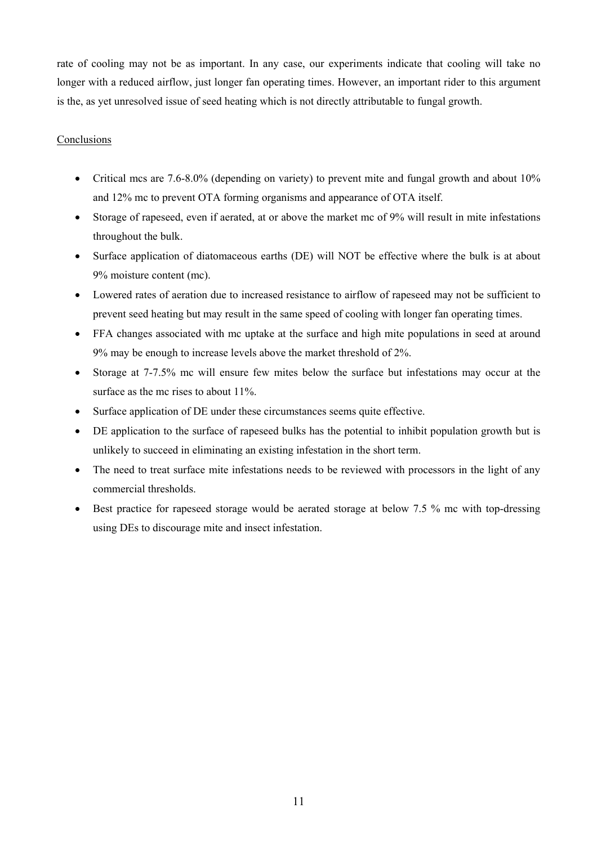rate of cooling may not be as important. In any case, our experiments indicate that cooling will take no longer with a reduced airflow, just longer fan operating times. However, an important rider to this argument is the, as yet unresolved issue of seed heating which is not directly attributable to fungal growth.

### Conclusions

- Critical mcs are 7.6-8.0% (depending on variety) to prevent mite and fungal growth and about 10% and 12% mc to prevent OTA forming organisms and appearance of OTA itself.
- Storage of rapeseed, even if aerated, at or above the market mc of 9% will result in mite infestations throughout the bulk.
- Surface application of diatomaceous earths (DE) will NOT be effective where the bulk is at about 9% moisture content (mc).
- Lowered rates of aeration due to increased resistance to airflow of rapeseed may not be sufficient to prevent seed heating but may result in the same speed of cooling with longer fan operating times.
- FFA changes associated with mc uptake at the surface and high mite populations in seed at around 9% may be enough to increase levels above the market threshold of 2%.
- Storage at 7-7.5% mc will ensure few mites below the surface but infestations may occur at the surface as the mc rises to about 11%.
- Surface application of DE under these circumstances seems quite effective.
- DE application to the surface of rapeseed bulks has the potential to inhibit population growth but is unlikely to succeed in eliminating an existing infestation in the short term.
- The need to treat surface mite infestations needs to be reviewed with processors in the light of any commercial thresholds.
- Best practice for rapeseed storage would be aerated storage at below 7.5 % mc with top-dressing using DEs to discourage mite and insect infestation.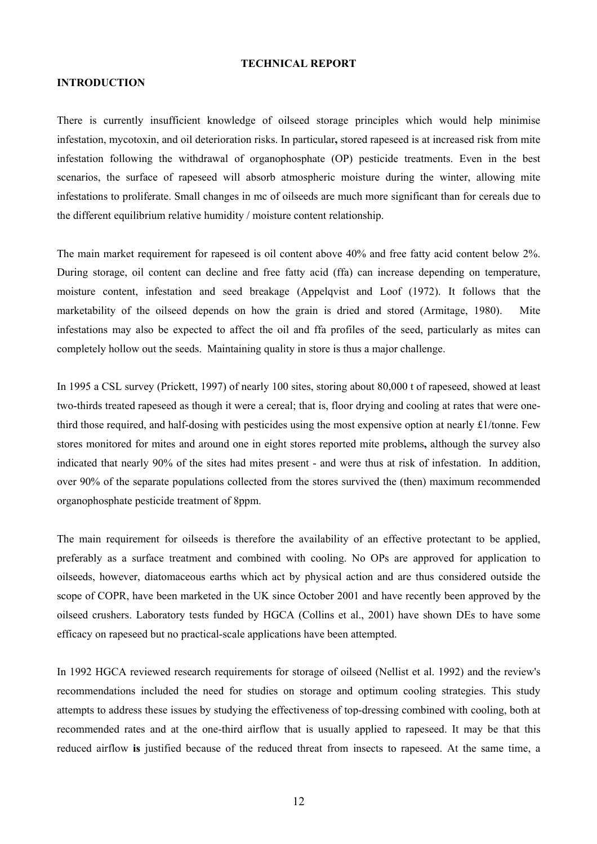#### **TECHNICAL REPORT**

#### **INTRODUCTION**

There is currently insufficient knowledge of oilseed storage principles which would help minimise infestation, mycotoxin, and oil deterioration risks. In particular**,** stored rapeseed is at increased risk from mite infestation following the withdrawal of organophosphate (OP) pesticide treatments. Even in the best scenarios, the surface of rapeseed will absorb atmospheric moisture during the winter, allowing mite infestations to proliferate. Small changes in mc of oilseeds are much more significant than for cereals due to the different equilibrium relative humidity / moisture content relationship.

The main market requirement for rapeseed is oil content above 40% and free fatty acid content below 2%. During storage, oil content can decline and free fatty acid (ffa) can increase depending on temperature, moisture content, infestation and seed breakage (Appelqvist and Loof (1972). It follows that the marketability of the oilseed depends on how the grain is dried and stored (Armitage, 1980). Mite infestations may also be expected to affect the oil and ffa profiles of the seed, particularly as mites can completely hollow out the seeds. Maintaining quality in store is thus a major challenge.

In 1995 a CSL survey (Prickett, 1997) of nearly 100 sites, storing about 80,000 t of rapeseed, showed at least two-thirds treated rapeseed as though it were a cereal; that is, floor drying and cooling at rates that were onethird those required, and half-dosing with pesticides using the most expensive option at nearly £1/tonne. Few stores monitored for mites and around one in eight stores reported mite problems**,** although the survey also indicated that nearly 90% of the sites had mites present - and were thus at risk of infestation. In addition, over 90% of the separate populations collected from the stores survived the (then) maximum recommended organophosphate pesticide treatment of 8ppm.

The main requirement for oilseeds is therefore the availability of an effective protectant to be applied, preferably as a surface treatment and combined with cooling. No OPs are approved for application to oilseeds, however, diatomaceous earths which act by physical action and are thus considered outside the scope of COPR, have been marketed in the UK since October 2001 and have recently been approved by the oilseed crushers. Laboratory tests funded by HGCA (Collins et al., 2001) have shown DEs to have some efficacy on rapeseed but no practical-scale applications have been attempted.

In 1992 HGCA reviewed research requirements for storage of oilseed (Nellist et al. 1992) and the review's recommendations included the need for studies on storage and optimum cooling strategies. This study attempts to address these issues by studying the effectiveness of top-dressing combined with cooling, both at recommended rates and at the one-third airflow that is usually applied to rapeseed. It may be that this reduced airflow **is** justified because of the reduced threat from insects to rapeseed. At the same time, a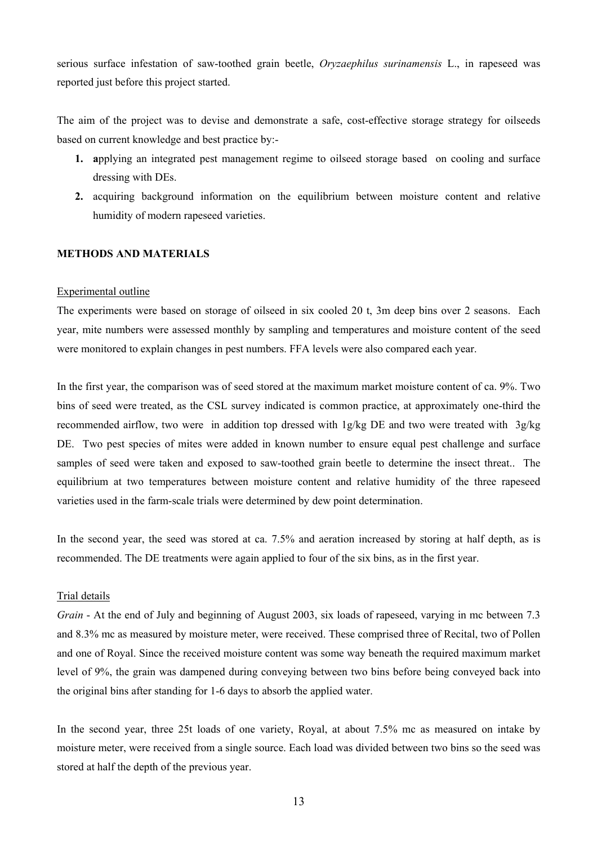serious surface infestation of saw-toothed grain beetle, *Oryzaephilus surinamensis* L., in rapeseed was reported just before this project started.

The aim of the project was to devise and demonstrate a safe, cost-effective storage strategy for oilseeds based on current knowledge and best practice by:-

- **1. a**pplying an integrated pest management regime to oilseed storage based on cooling and surface dressing with DEs.
- **2.** acquiring background information on the equilibrium between moisture content and relative humidity of modern rapeseed varieties.

#### **METHODS AND MATERIALS**

#### Experimental outline

The experiments were based on storage of oilseed in six cooled 20 t, 3m deep bins over 2 seasons. Each year, mite numbers were assessed monthly by sampling and temperatures and moisture content of the seed were monitored to explain changes in pest numbers. FFA levels were also compared each year.

In the first year, the comparison was of seed stored at the maximum market moisture content of ca. 9%. Two bins of seed were treated, as the CSL survey indicated is common practice, at approximately one-third the recommended airflow, two were in addition top dressed with 1g/kg DE and two were treated with 3g/kg DE. Two pest species of mites were added in known number to ensure equal pest challenge and surface samples of seed were taken and exposed to saw-toothed grain beetle to determine the insect threat.. The equilibrium at two temperatures between moisture content and relative humidity of the three rapeseed varieties used in the farm-scale trials were determined by dew point determination.

In the second year, the seed was stored at ca. 7.5% and aeration increased by storing at half depth, as is recommended. The DE treatments were again applied to four of the six bins, as in the first year.

#### Trial details

*Grain* - At the end of July and beginning of August 2003, six loads of rapeseed, varying in mc between 7.3 and 8.3% mc as measured by moisture meter, were received. These comprised three of Recital, two of Pollen and one of Royal. Since the received moisture content was some way beneath the required maximum market level of 9%, the grain was dampened during conveying between two bins before being conveyed back into the original bins after standing for 1-6 days to absorb the applied water.

In the second year, three 25t loads of one variety, Royal, at about 7.5% mc as measured on intake by moisture meter, were received from a single source. Each load was divided between two bins so the seed was stored at half the depth of the previous year.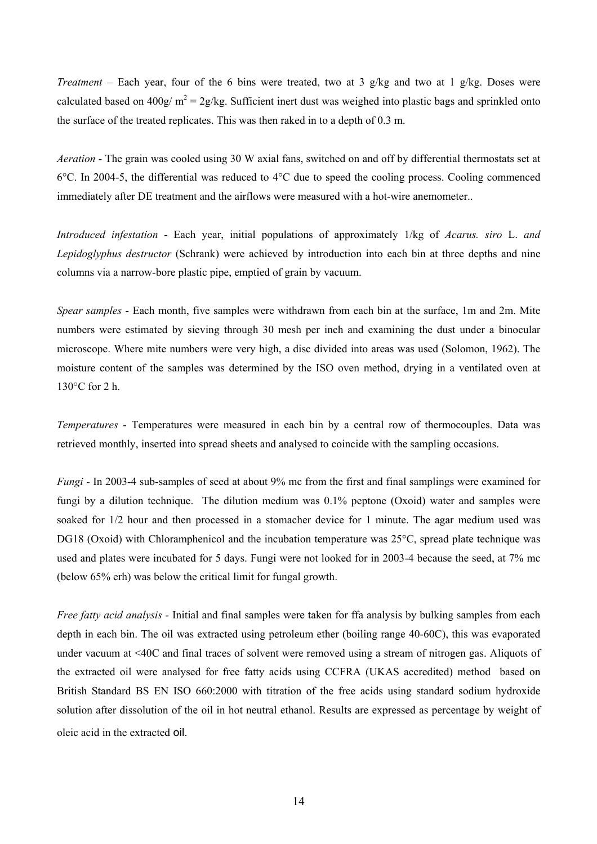*Treatment* – Each year, four of the 6 bins were treated, two at 3 g/kg and two at 1 g/kg. Doses were calculated based on 400g/  $m^2 = 2g/kg$ . Sufficient inert dust was weighed into plastic bags and sprinkled onto the surface of the treated replicates. This was then raked in to a depth of 0.3 m.

*Aeration -* The grain was cooled using 30 W axial fans, switched on and off by differential thermostats set at 6°C. In 2004-5, the differential was reduced to 4°C due to speed the cooling process. Cooling commenced immediately after DE treatment and the airflows were measured with a hot-wire anemometer..

*Introduced infestation* - Each year, initial populations of approximately 1/kg of *Acarus. siro* L. *and Lepidoglyphus destructor* (Schrank) were achieved by introduction into each bin at three depths and nine columns via a narrow-bore plastic pipe, emptied of grain by vacuum.

*Spear samples* - Each month, five samples were withdrawn from each bin at the surface, 1m and 2m. Mite numbers were estimated by sieving through 30 mesh per inch and examining the dust under a binocular microscope. Where mite numbers were very high, a disc divided into areas was used (Solomon, 1962). The moisture content of the samples was determined by the ISO oven method, drying in a ventilated oven at 130°C for 2 h.

*Temperatures* - Temperatures were measured in each bin by a central row of thermocouples. Data was retrieved monthly, inserted into spread sheets and analysed to coincide with the sampling occasions.

*Fungi* - In 2003-4 sub-samples of seed at about 9% mc from the first and final samplings were examined for fungi by a dilution technique. The dilution medium was 0.1% peptone (Oxoid) water and samples were soaked for 1/2 hour and then processed in a stomacher device for 1 minute. The agar medium used was DG18 (Oxoid) with Chloramphenicol and the incubation temperature was 25<sup>o</sup>C, spread plate technique was used and plates were incubated for 5 days. Fungi were not looked for in 2003-4 because the seed, at 7% mc (below 65% erh) was below the critical limit for fungal growth.

*Free fatty acid analysis -* Initial and final samples were taken for ffa analysis by bulking samples from each depth in each bin. The oil was extracted using petroleum ether (boiling range 40-60C), this was evaporated under vacuum at <40C and final traces of solvent were removed using a stream of nitrogen gas. Aliquots of the extracted oil were analysed for free fatty acids using CCFRA (UKAS accredited) method based on British Standard BS EN ISO 660:2000 with titration of the free acids using standard sodium hydroxide solution after dissolution of the oil in hot neutral ethanol. Results are expressed as percentage by weight of oleic acid in the extracted oil.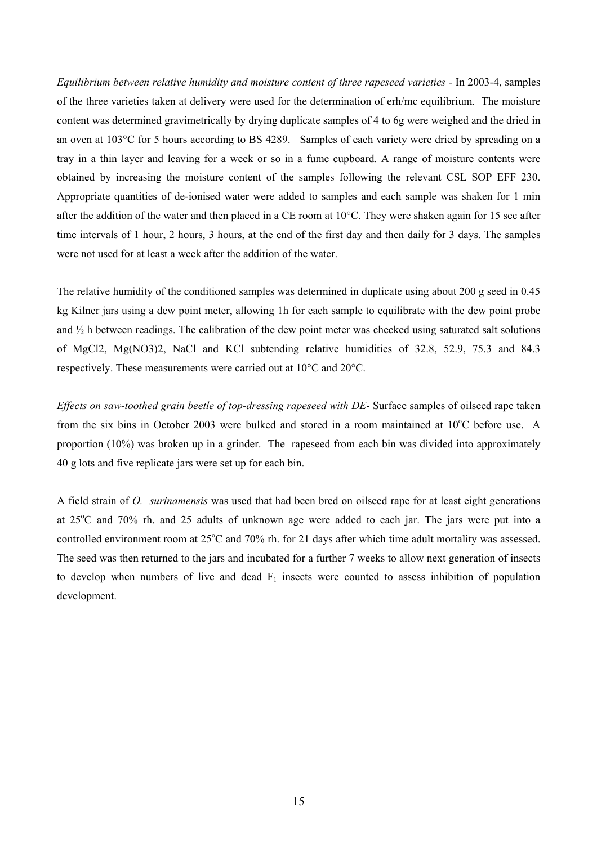*Equilibrium between relative humidity and moisture content of three rapeseed varieties -* In 2003-4, samples of the three varieties taken at delivery were used for the determination of erh/mc equilibrium. The moisture content was determined gravimetrically by drying duplicate samples of 4 to 6g were weighed and the dried in an oven at 103°C for 5 hours according to BS 4289. Samples of each variety were dried by spreading on a tray in a thin layer and leaving for a week or so in a fume cupboard. A range of moisture contents were obtained by increasing the moisture content of the samples following the relevant CSL SOP EFF 230. Appropriate quantities of de-ionised water were added to samples and each sample was shaken for 1 min after the addition of the water and then placed in a CE room at 10°C. They were shaken again for 15 sec after time intervals of 1 hour, 2 hours, 3 hours, at the end of the first day and then daily for 3 days. The samples were not used for at least a week after the addition of the water.

The relative humidity of the conditioned samples was determined in duplicate using about 200 g seed in 0.45 kg Kilner jars using a dew point meter, allowing 1h for each sample to equilibrate with the dew point probe and ½ h between readings. The calibration of the dew point meter was checked using saturated salt solutions of MgCl2, Mg(NO3)2, NaCl and KCl subtending relative humidities of 32.8, 52.9, 75.3 and 84.3 respectively. These measurements were carried out at 10°C and 20°C.

*Effects on saw-toothed grain beetle of top-dressing rapeseed with DE*- Surface samples of oilseed rape taken from the six bins in October 2003 were bulked and stored in a room maintained at 10°C before use. A proportion (10%) was broken up in a grinder. The rapeseed from each bin was divided into approximately 40 g lots and five replicate jars were set up for each bin.

A field strain of *O. surinamensis* was used that had been bred on oilseed rape for at least eight generations at 25°C and 70% rh. and 25 adults of unknown age were added to each jar. The jars were put into a controlled environment room at 25°C and 70% rh. for 21 days after which time adult mortality was assessed. The seed was then returned to the jars and incubated for a further 7 weeks to allow next generation of insects to develop when numbers of live and dead  $F_1$  insects were counted to assess inhibition of population development.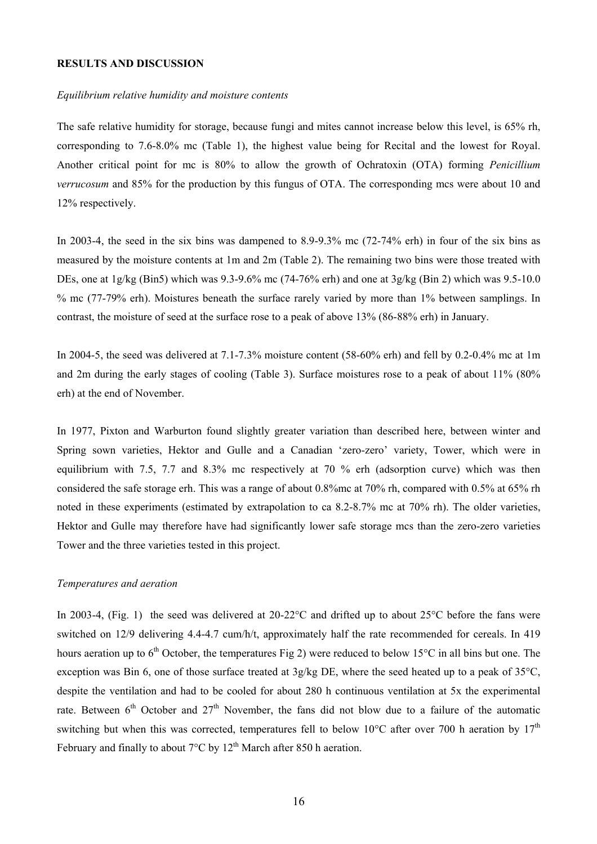#### **RESULTS AND DISCUSSION**

#### *Equilibrium relative humidity and moisture contents*

The safe relative humidity for storage, because fungi and mites cannot increase below this level, is 65% rh, corresponding to 7.6-8.0% mc (Table 1), the highest value being for Recital and the lowest for Royal. Another critical point for mc is 80% to allow the growth of Ochratoxin (OTA) forming *Penicillium verrucosum* and 85% for the production by this fungus of OTA. The corresponding mcs were about 10 and 12% respectively.

In 2003-4, the seed in the six bins was dampened to 8.9-9.3% mc (72-74% erh) in four of the six bins as measured by the moisture contents at 1m and 2m (Table 2). The remaining two bins were those treated with DEs, one at  $1g/kg$  (Bin5) which was 9.3-9.6% mc (74-76% erh) and one at  $3g/kg$  (Bin 2) which was 9.5-10.0 % mc (77-79% erh). Moistures beneath the surface rarely varied by more than 1% between samplings. In contrast, the moisture of seed at the surface rose to a peak of above 13% (86-88% erh) in January.

In 2004-5, the seed was delivered at 7.1-7.3% moisture content (58-60% erh) and fell by 0.2-0.4% mc at 1m and 2m during the early stages of cooling (Table 3). Surface moistures rose to a peak of about 11% (80% erh) at the end of November.

In 1977, Pixton and Warburton found slightly greater variation than described here, between winter and Spring sown varieties, Hektor and Gulle and a Canadian 'zero-zero' variety, Tower, which were in equilibrium with 7.5, 7.7 and 8.3% mc respectively at 70 % erh (adsorption curve) which was then considered the safe storage erh. This was a range of about 0.8%mc at 70% rh, compared with 0.5% at 65% rh noted in these experiments (estimated by extrapolation to ca 8.2-8.7% mc at 70% rh). The older varieties, Hektor and Gulle may therefore have had significantly lower safe storage mcs than the zero-zero varieties Tower and the three varieties tested in this project.

#### *Temperatures and aeration*

In 2003-4, (Fig. 1) the seed was delivered at 20-22 °C and drifted up to about 25 °C before the fans were switched on 12/9 delivering 4.4-4.7 cum/h/t, approximately half the rate recommended for cereals. In 419 hours aeration up to  $6<sup>th</sup>$  October, the temperatures Fig 2) were reduced to below 15 $\degree$ C in all bins but one. The exception was Bin 6, one of those surface treated at 3g/kg DE, where the seed heated up to a peak of 35°C, despite the ventilation and had to be cooled for about 280 h continuous ventilation at 5x the experimental rate. Between  $6<sup>th</sup>$  October and  $27<sup>th</sup>$  November, the fans did not blow due to a failure of the automatic switching but when this was corrected, temperatures fell to below 10 $^{\circ}$ C after over 700 h aeration by 17<sup>th</sup> February and finally to about  $7^{\circ}$ C by  $12^{\text{th}}$  March after 850 h aeration.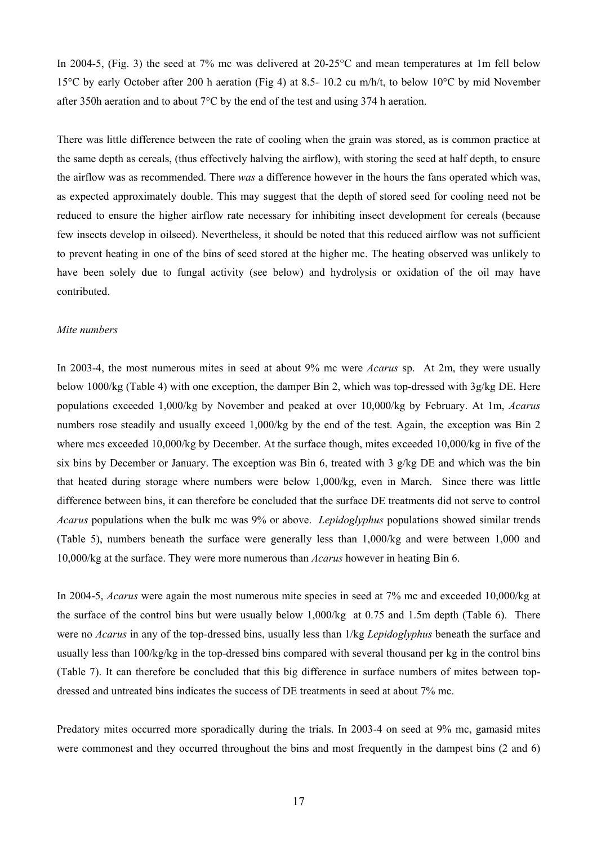In 2004-5, (Fig. 3) the seed at 7% mc was delivered at 20-25 °C and mean temperatures at 1m fell below 15°C by early October after 200 h aeration (Fig 4) at 8.5- 10.2 cu m/h/t, to below 10°C by mid November after 350h aeration and to about 7°C by the end of the test and using 374 h aeration.

There was little difference between the rate of cooling when the grain was stored, as is common practice at the same depth as cereals, (thus effectively halving the airflow), with storing the seed at half depth, to ensure the airflow was as recommended. There *was* a difference however in the hours the fans operated which was, as expected approximately double. This may suggest that the depth of stored seed for cooling need not be reduced to ensure the higher airflow rate necessary for inhibiting insect development for cereals (because few insects develop in oilseed). Nevertheless, it should be noted that this reduced airflow was not sufficient to prevent heating in one of the bins of seed stored at the higher mc. The heating observed was unlikely to have been solely due to fungal activity (see below) and hydrolysis or oxidation of the oil may have contributed.

#### *Mite numbers*

In 2003-4, the most numerous mites in seed at about 9% mc were *Acarus* sp. At 2m, they were usually below 1000/kg (Table 4) with one exception, the damper Bin 2, which was top-dressed with 3g/kg DE. Here populations exceeded 1,000/kg by November and peaked at over 10,000/kg by February. At 1m, *Acarus* numbers rose steadily and usually exceed 1,000/kg by the end of the test. Again, the exception was Bin 2 where mcs exceeded 10,000/kg by December. At the surface though, mites exceeded 10,000/kg in five of the six bins by December or January. The exception was Bin 6, treated with 3 g/kg DE and which was the bin that heated during storage where numbers were below 1,000/kg, even in March. Since there was little difference between bins, it can therefore be concluded that the surface DE treatments did not serve to control *Acarus* populations when the bulk mc was 9% or above. *Lepidoglyphus* populations showed similar trends (Table 5), numbers beneath the surface were generally less than 1,000/kg and were between 1,000 and 10,000/kg at the surface. They were more numerous than *Acarus* however in heating Bin 6.

In 2004-5, *Acarus* were again the most numerous mite species in seed at 7% mc and exceeded 10,000/kg at the surface of the control bins but were usually below 1,000/kg at 0.75 and 1.5m depth (Table 6). There were no *Acarus* in any of the top-dressed bins, usually less than 1/kg *Lepidoglyphus* beneath the surface and usually less than 100/kg/kg in the top-dressed bins compared with several thousand per kg in the control bins (Table 7). It can therefore be concluded that this big difference in surface numbers of mites between topdressed and untreated bins indicates the success of DE treatments in seed at about 7% mc.

Predatory mites occurred more sporadically during the trials. In 2003-4 on seed at 9% mc, gamasid mites were commonest and they occurred throughout the bins and most frequently in the dampest bins (2 and 6)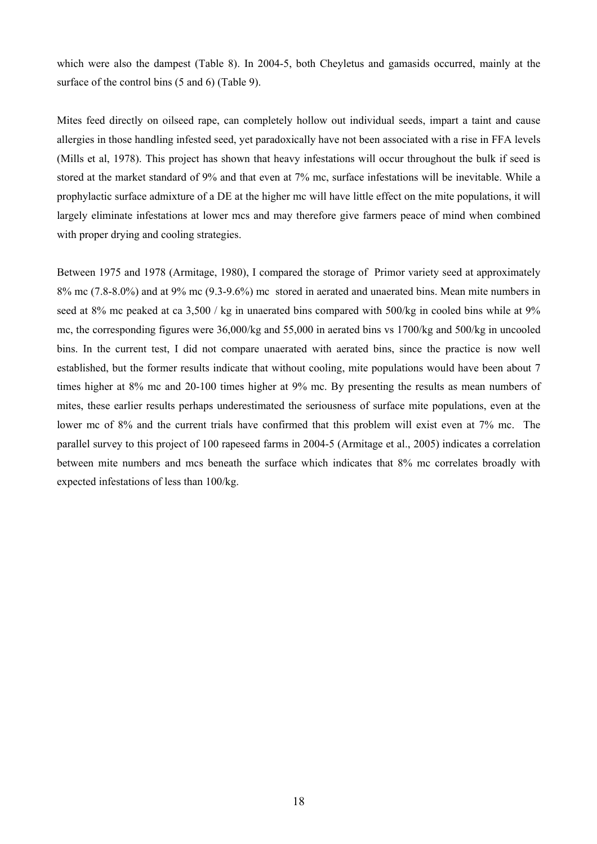which were also the dampest (Table 8). In 2004-5, both Cheyletus and gamasids occurred, mainly at the surface of the control bins (5 and 6) (Table 9).

Mites feed directly on oilseed rape, can completely hollow out individual seeds, impart a taint and cause allergies in those handling infested seed, yet paradoxically have not been associated with a rise in FFA levels (Mills et al, 1978). This project has shown that heavy infestations will occur throughout the bulk if seed is stored at the market standard of 9% and that even at 7% mc, surface infestations will be inevitable. While a prophylactic surface admixture of a DE at the higher mc will have little effect on the mite populations, it will largely eliminate infestations at lower mcs and may therefore give farmers peace of mind when combined with proper drying and cooling strategies.

Between 1975 and 1978 (Armitage, 1980), I compared the storage of Primor variety seed at approximately 8% mc (7.8-8.0%) and at 9% mc (9.3-9.6%) mc stored in aerated and unaerated bins. Mean mite numbers in seed at 8% mc peaked at ca 3,500 / kg in unaerated bins compared with 500/kg in cooled bins while at 9% mc, the corresponding figures were 36,000/kg and 55,000 in aerated bins vs 1700/kg and 500/kg in uncooled bins. In the current test, I did not compare unaerated with aerated bins, since the practice is now well established, but the former results indicate that without cooling, mite populations would have been about 7 times higher at 8% mc and 20-100 times higher at 9% mc. By presenting the results as mean numbers of mites, these earlier results perhaps underestimated the seriousness of surface mite populations, even at the lower mc of 8% and the current trials have confirmed that this problem will exist even at 7% mc. The parallel survey to this project of 100 rapeseed farms in 2004-5 (Armitage et al., 2005) indicates a correlation between mite numbers and mcs beneath the surface which indicates that 8% mc correlates broadly with expected infestations of less than 100/kg.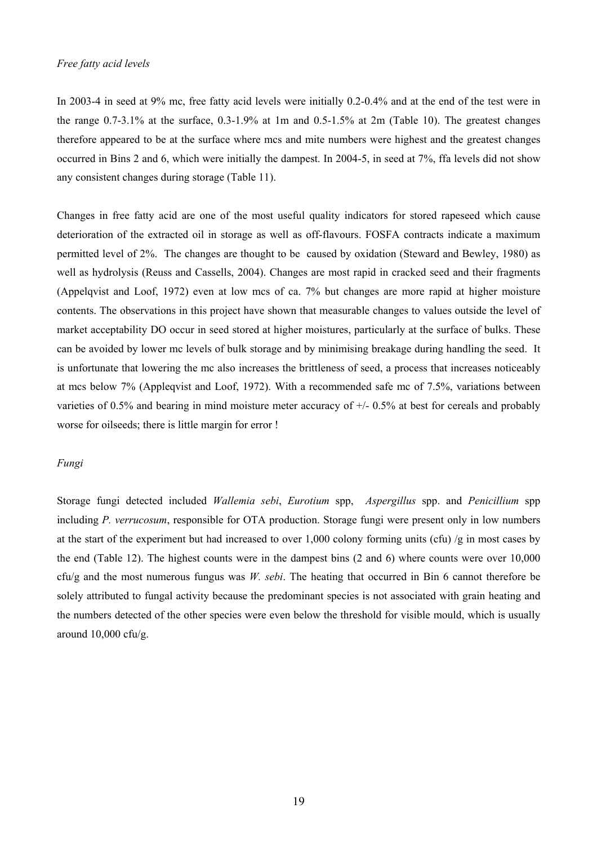In 2003-4 in seed at 9% mc, free fatty acid levels were initially 0.2-0.4% and at the end of the test were in the range 0.7-3.1% at the surface, 0.3-1.9% at 1m and 0.5-1.5% at 2m (Table 10). The greatest changes therefore appeared to be at the surface where mcs and mite numbers were highest and the greatest changes occurred in Bins 2 and 6, which were initially the dampest. In 2004-5, in seed at 7%, ffa levels did not show any consistent changes during storage (Table 11).

Changes in free fatty acid are one of the most useful quality indicators for stored rapeseed which cause deterioration of the extracted oil in storage as well as off-flavours. FOSFA contracts indicate a maximum permitted level of 2%. The changes are thought to be caused by oxidation (Steward and Bewley, 1980) as well as hydrolysis (Reuss and Cassells, 2004). Changes are most rapid in cracked seed and their fragments (Appelqvist and Loof, 1972) even at low mcs of ca. 7% but changes are more rapid at higher moisture contents. The observations in this project have shown that measurable changes to values outside the level of market acceptability DO occur in seed stored at higher moistures, particularly at the surface of bulks. These can be avoided by lower mc levels of bulk storage and by minimising breakage during handling the seed. It is unfortunate that lowering the mc also increases the brittleness of seed, a process that increases noticeably at mcs below 7% (Appleqvist and Loof, 1972). With a recommended safe mc of 7.5%, variations between varieties of 0.5% and bearing in mind moisture meter accuracy of +/- 0.5% at best for cereals and probably worse for oilseeds; there is little margin for error !

#### *Fungi*

Storage fungi detected included *Wallemia sebi*, *Eurotium* spp, *Aspergillus* spp. and *Penicillium* spp including *P. verrucosum*, responsible for OTA production. Storage fungi were present only in low numbers at the start of the experiment but had increased to over 1,000 colony forming units (cfu) /g in most cases by the end (Table 12). The highest counts were in the dampest bins (2 and 6) where counts were over 10,000 cfu/g and the most numerous fungus was *W. sebi*. The heating that occurred in Bin 6 cannot therefore be solely attributed to fungal activity because the predominant species is not associated with grain heating and the numbers detected of the other species were even below the threshold for visible mould, which is usually around 10,000 cfu/g.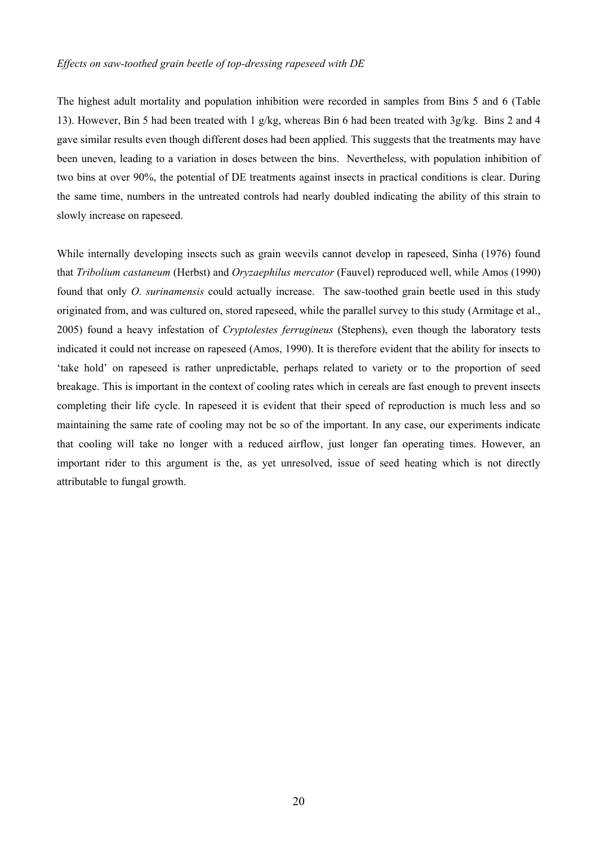#### *Effects on saw-toothed grain beetle of top-dressing rapeseed with DE*

The highest adult mortality and population inhibition were recorded in samples from Bins 5 and 6 (Table 13). However, Bin 5 had been treated with 1 g/kg, whereas Bin 6 had been treated with 3g/kg. Bins 2 and 4 gave similar results even though different doses had been applied. This suggests that the treatments may have been uneven, leading to a variation in doses between the bins. Nevertheless, with population inhibition of two bins at over 90%, the potential of DE treatments against insects in practical conditions is clear. During the same time, numbers in the untreated controls had nearly doubled indicating the ability of this strain to slowly increase on rapeseed.

While internally developing insects such as grain weevils cannot develop in rapeseed, Sinha (1976) found that *Tribolium castaneum* (Herbst) and *Oryzaephilus mercator* (Fauvel) reproduced well, while Amos (1990) found that only *O. surinamensis* could actually increase. The saw-toothed grain beetle used in this study originated from, and was cultured on, stored rapeseed, while the parallel survey to this study (Armitage et al., 2005) found a heavy infestation of *Cryptolestes ferrugineus* (Stephens), even though the laboratory tests indicated it could not increase on rapeseed (Amos, 1990). It is therefore evident that the ability for insects to 'take hold' on rapeseed is rather unpredictable, perhaps related to variety or to the proportion of seed breakage. This is important in the context of cooling rates which in cereals are fast enough to prevent insects completing their life cycle. In rapeseed it is evident that their speed of reproduction is much less and so maintaining the same rate of cooling may not be so of the important. In any case, our experiments indicate that cooling will take no longer with a reduced airflow, just longer fan operating times. However, an important rider to this argument is the, as yet unresolved, issue of seed heating which is not directly attributable to fungal growth.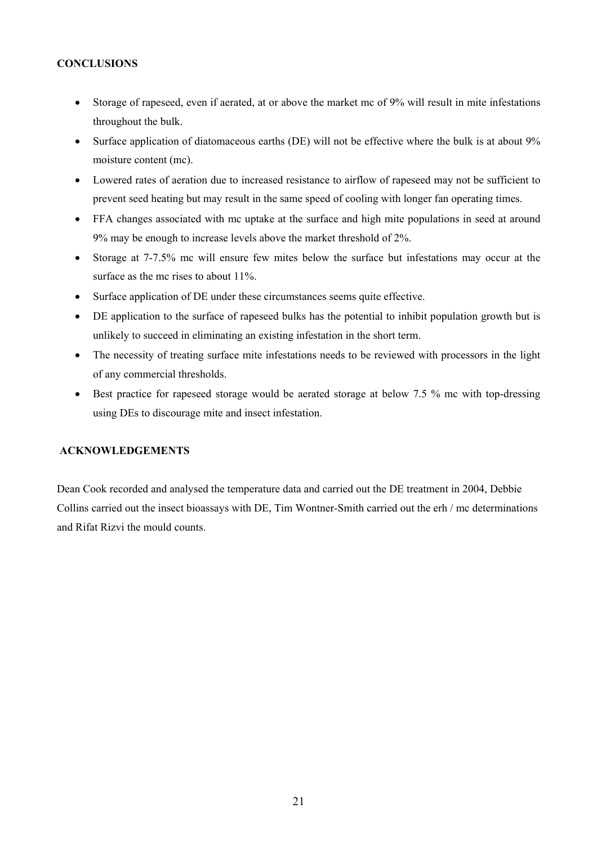#### **CONCLUSIONS**

- Storage of rapeseed, even if aerated, at or above the market mc of 9% will result in mite infestations throughout the bulk.
- Surface application of diatomaceous earths (DE) will not be effective where the bulk is at about 9% moisture content (mc).
- Lowered rates of aeration due to increased resistance to airflow of rapeseed may not be sufficient to prevent seed heating but may result in the same speed of cooling with longer fan operating times.
- FFA changes associated with mc uptake at the surface and high mite populations in seed at around 9% may be enough to increase levels above the market threshold of 2%.
- Storage at 7-7.5% mc will ensure few mites below the surface but infestations may occur at the surface as the mc rises to about 11%.
- Surface application of DE under these circumstances seems quite effective.
- DE application to the surface of rapeseed bulks has the potential to inhibit population growth but is unlikely to succeed in eliminating an existing infestation in the short term.
- The necessity of treating surface mite infestations needs to be reviewed with processors in the light of any commercial thresholds.
- Best practice for rapeseed storage would be aerated storage at below 7.5 % mc with top-dressing using DEs to discourage mite and insect infestation.

#### **ACKNOWLEDGEMENTS**

Dean Cook recorded and analysed the temperature data and carried out the DE treatment in 2004, Debbie Collins carried out the insect bioassays with DE, Tim Wontner-Smith carried out the erh / mc determinations and Rifat Rizvi the mould counts.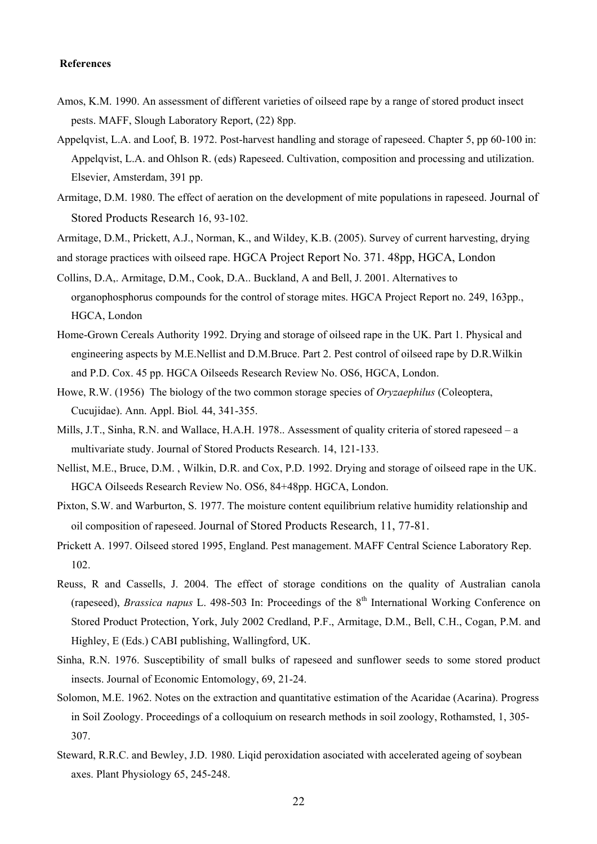#### **References**

- Amos, K.M. 1990. An assessment of different varieties of oilseed rape by a range of stored product insect pests. MAFF, Slough Laboratory Report, (22) 8pp.
- Appelqvist, L.A. and Loof, B. 1972. Post-harvest handling and storage of rapeseed. Chapter 5, pp 60-100 in: Appelqvist, L.A. and Ohlson R. (eds) Rapeseed. Cultivation, composition and processing and utilization. Elsevier, Amsterdam, 391 pp.
- Armitage, D.M. 1980. The effect of aeration on the development of mite populations in rapeseed. Journal of Stored Products Research 16, 93-102.
- Armitage, D.M., Prickett, A.J., Norman, K., and Wildey, K.B. (2005). Survey of current harvesting, drying and storage practices with oilseed rape. HGCA Project Report No. 371. 48pp, HGCA, London
- Collins, D.A,. Armitage, D.M., Cook, D.A.. Buckland, A and Bell, J. 2001. Alternatives to organophosphorus compounds for the control of storage mites. HGCA Project Report no. 249, 163pp., HGCA, London
- Home-Grown Cereals Authority 1992. Drying and storage of oilseed rape in the UK. Part 1. Physical and engineering aspects by M.E.Nellist and D.M.Bruce. Part 2. Pest control of oilseed rape by D.R.Wilkin and P.D. Cox. 45 pp. HGCA Oilseeds Research Review No. OS6, HGCA, London.
- Howe, R.W. (1956) The biology of the two common storage species of *Oryzaephilus* (Coleoptera, Cucujidae). Ann. Appl. Biol*.* 44, 341-355.
- Mills, J.T., Sinha, R.N. and Wallace, H.A.H. 1978.. Assessment of quality criteria of stored rapeseed a multivariate study. Journal of Stored Products Research. 14, 121-133.
- Nellist, M.E., Bruce, D.M. , Wilkin, D.R. and Cox, P.D. 1992. Drying and storage of oilseed rape in the UK. HGCA Oilseeds Research Review No. OS6, 84+48pp. HGCA, London.
- Pixton, S.W. and Warburton, S. 1977. The moisture content equilibrium relative humidity relationship and oil composition of rapeseed. Journal of Stored Products Research, 11, 77-81.
- Prickett A. 1997. Oilseed stored 1995, England. Pest management. MAFF Central Science Laboratory Rep. 102.
- Reuss, R and Cassells, J. 2004. The effect of storage conditions on the quality of Australian canola (rapeseed), *Brassica napus* L. 498-503 In: Proceedings of the 8<sup>th</sup> International Working Conference on Stored Product Protection, York, July 2002 Credland, P.F., Armitage, D.M., Bell, C.H., Cogan, P.M. and Highley, E (Eds.) CABI publishing, Wallingford, UK.
- Sinha, R.N. 1976. Susceptibility of small bulks of rapeseed and sunflower seeds to some stored product insects. Journal of Economic Entomology, 69, 21-24.
- Solomon, M.E. 1962. Notes on the extraction and quantitative estimation of the Acaridae (Acarina). Progress in Soil Zoology. Proceedings of a colloquium on research methods in soil zoology, Rothamsted, 1, 305- 307.
- Steward, R.R.C. and Bewley, J.D. 1980. Liqid peroxidation asociated with accelerated ageing of soybean axes. Plant Physiology 65, 245-248.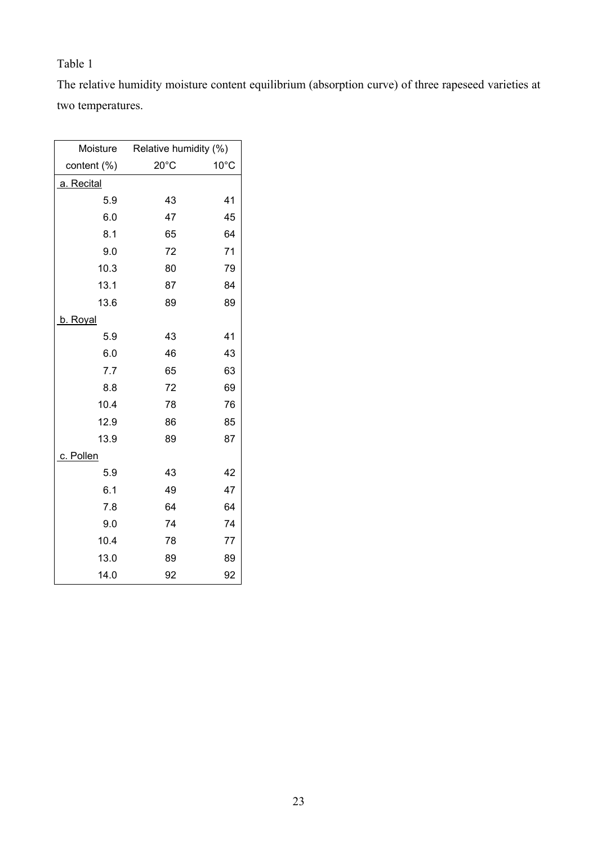The relative humidity moisture content equilibrium (absorption curve) of three rapeseed varieties at two temperatures.

| Moisture    | Relative humidity (%) |                |  |  |
|-------------|-----------------------|----------------|--|--|
| content (%) | $20^{\circ}$ C        | $10^{\circ}$ C |  |  |
| a. Recital  |                       |                |  |  |
| 5.9         | 43                    | 41             |  |  |
| 6.0         | 47                    | 45             |  |  |
| 8.1         | 65                    | 64             |  |  |
| 9.0         | 72                    | 71             |  |  |
| 10.3        | 80                    | 79             |  |  |
| 13.1        | 87                    | 84             |  |  |
| 13.6        | 89                    | 89             |  |  |
| b. Royal    |                       |                |  |  |
| 5.9         | 43                    | 41             |  |  |
| 6.0         | 46                    | 43             |  |  |
| 7.7         | 65                    | 63             |  |  |
| 8.8         | 72                    | 69             |  |  |
| 10.4        | 78                    | 76             |  |  |
| 12.9        | 86                    | 85             |  |  |
| 13.9        | 89                    | 87             |  |  |
| c. Pollen   |                       |                |  |  |
| 5.9         | 43                    | 42             |  |  |
| 6.1         | 49                    | 47             |  |  |
| 7.8         | 64                    | 64             |  |  |
| 9.0         | 74                    | 74             |  |  |
| 10.4        | 78                    | 77             |  |  |
| 13.0        | 89                    | 89             |  |  |
| 14.0        | 92                    | 92             |  |  |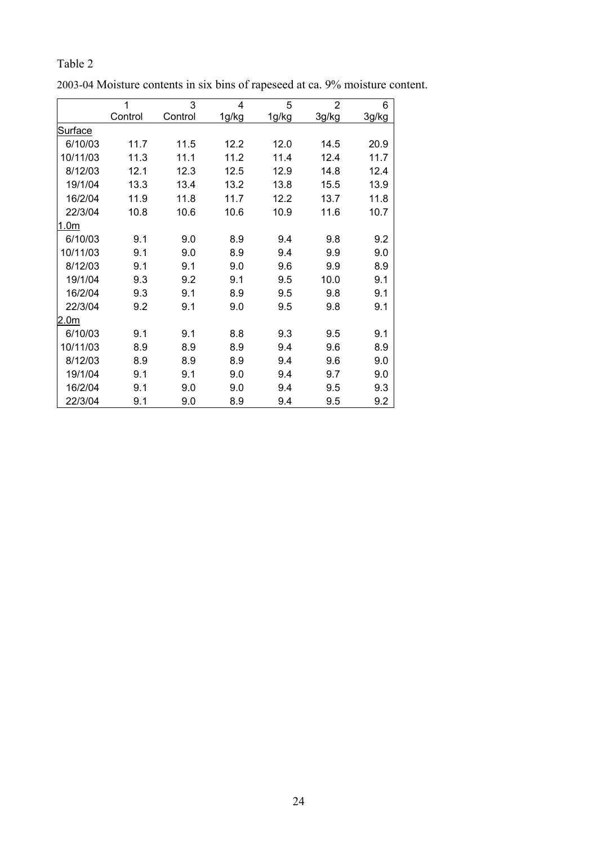|                  | 1       | 3       | $\overline{4}$ | 5     | $\overline{2}$ | 6     |
|------------------|---------|---------|----------------|-------|----------------|-------|
|                  | Control | Control | 1g/kg          | 1g/kg | 3g/kg          | 3g/kg |
| <b>Surface</b>   |         |         |                |       |                |       |
| 6/10/03          | 11.7    | 11.5    | 12.2           | 12.0  | 14.5           | 20.9  |
| 10/11/03         | 11.3    | 11.1    | 11.2           | 11.4  | 12.4           | 11.7  |
| 8/12/03          | 12.1    | 12.3    | 12.5           | 12.9  | 14.8           | 12.4  |
| 19/1/04          | 13.3    | 13.4    | 13.2           | 13.8  | 15.5           | 13.9  |
| 16/2/04          | 11.9    | 11.8    | 11.7           | 12.2  | 13.7           | 11.8  |
| 22/3/04          | 10.8    | 10.6    | 10.6           | 10.9  | 11.6           | 10.7  |
| 1.0 <sub>m</sub> |         |         |                |       |                |       |
| 6/10/03          | 9.1     | 9.0     | 8.9            | 9.4   | 9.8            | 9.2   |
| 10/11/03         | 9.1     | 9.0     | 8.9            | 9.4   | 9.9            | 9.0   |
| 8/12/03          | 9.1     | 9.1     | 9.0            | 9.6   | 9.9            | 8.9   |
| 19/1/04          | 9.3     | 9.2     | 9.1            | 9.5   | 10.0           | 9.1   |
| 16/2/04          | 9.3     | 9.1     | 8.9            | 9.5   | 9.8            | 9.1   |
| 22/3/04          | 9.2     | 9.1     | 9.0            | 9.5   | 9.8            | 9.1   |
| 2.0 <sub>m</sub> |         |         |                |       |                |       |
| 6/10/03          | 9.1     | 9.1     | 8.8            | 9.3   | 9.5            | 9.1   |
| 10/11/03         | 8.9     | 8.9     | 8.9            | 9.4   | 9.6            | 8.9   |
| 8/12/03          | 8.9     | 8.9     | 8.9            | 9.4   | 9.6            | 9.0   |
| 19/1/04          | 9.1     | 9.1     | 9.0            | 9.4   | 9.7            | 9.0   |
| 16/2/04          | 9.1     | 9.0     | 9.0            | 9.4   | 9.5            | 9.3   |
| 22/3/04          | 9.1     | 9.0     | 8.9            | 9.4   | 9.5            | 9.2   |

2003-04 Moisture contents in six bins of rapeseed at ca. 9% moisture content.

Table 2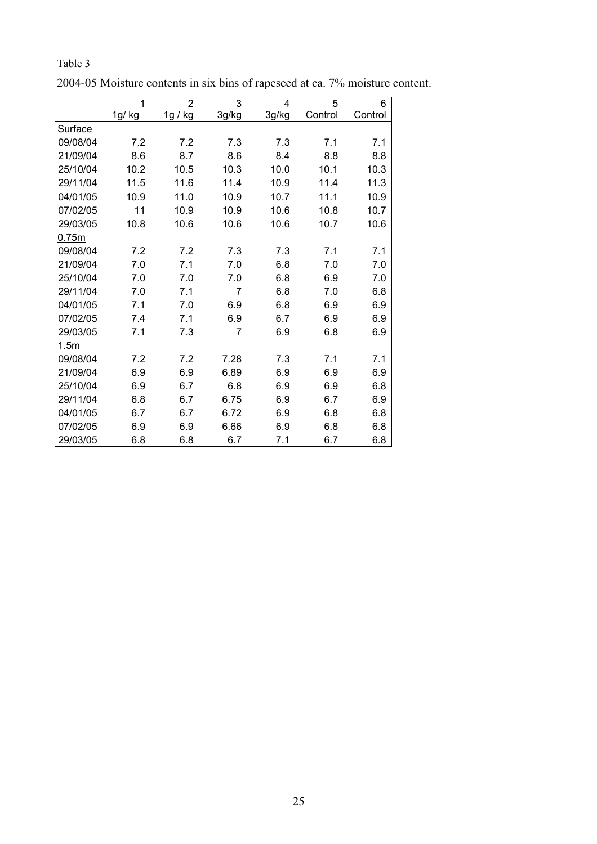|          | 1      | $\overline{2}$ | 3              | $\overline{4}$ | 5       | 6       |
|----------|--------|----------------|----------------|----------------|---------|---------|
|          | 1g/ kg | 1g / kg        | 3g/kg          | 3g/kg          | Control | Control |
| Surface  |        |                |                |                |         |         |
| 09/08/04 | 7.2    | 7.2            | 7.3            | 7.3            | 7.1     | 7.1     |
| 21/09/04 | 8.6    | 8.7            | 8.6            | 8.4            | 8.8     | 8.8     |
| 25/10/04 | 10.2   | 10.5           | 10.3           | 10.0           | 10.1    | 10.3    |
| 29/11/04 | 11.5   | 11.6           | 11.4           | 10.9           | 11.4    | 11.3    |
| 04/01/05 | 10.9   | 11.0           | 10.9           | 10.7           | 11.1    | 10.9    |
| 07/02/05 | 11     | 10.9           | 10.9           | 10.6           | 10.8    | 10.7    |
| 29/03/05 | 10.8   | 10.6           | 10.6           | 10.6           | 10.7    | 10.6    |
| 0.75m    |        |                |                |                |         |         |
| 09/08/04 | 7.2    | 7.2            | 7.3            | 7.3            | 7.1     | 7.1     |
| 21/09/04 | 7.0    | 7.1            | 7.0            | 6.8            | 7.0     | 7.0     |
| 25/10/04 | 7.0    | 7.0            | 7.0            | 6.8            | 6.9     | 7.0     |
| 29/11/04 | 7.0    | 7.1            | 7              | 6.8            | 7.0     | 6.8     |
| 04/01/05 | 7.1    | 7.0            | 6.9            | 6.8            | 6.9     | 6.9     |
| 07/02/05 | 7.4    | 7.1            | 6.9            | 6.7            | 6.9     | 6.9     |
| 29/03/05 | 7.1    | 7.3            | $\overline{7}$ | 6.9            | 6.8     | 6.9     |
| 1.5m     |        |                |                |                |         |         |
| 09/08/04 | 7.2    | 7.2            | 7.28           | 7.3            | 7.1     | 7.1     |
| 21/09/04 | 6.9    | 6.9            | 6.89           | 6.9            | 6.9     | 6.9     |
| 25/10/04 | 6.9    | 6.7            | 6.8            | 6.9            | 6.9     | 6.8     |
| 29/11/04 | 6.8    | 6.7            | 6.75           | 6.9            | 6.7     | 6.9     |
| 04/01/05 | 6.7    | 6.7            | 6.72           | 6.9            | 6.8     | 6.8     |
| 07/02/05 | 6.9    | 6.9            | 6.66           | 6.9            | 6.8     | 6.8     |
| 29/03/05 | 6.8    | 6.8            | 6.7            | 7.1            | 6.7     | 6.8     |

2004-05 Moisture contents in six bins of rapeseed at ca. 7% moisture content.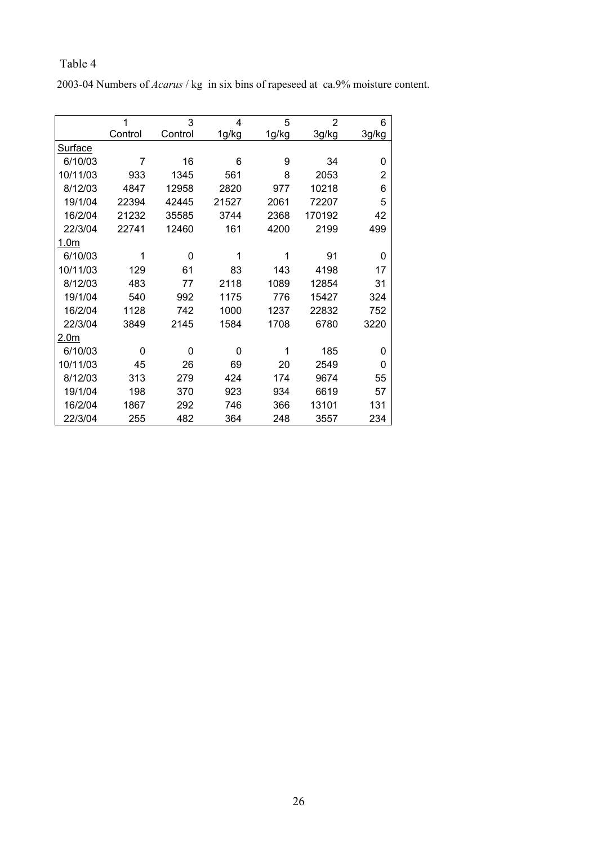2003-04 Numbers of *Acarus* / kg in six bins of rapeseed at ca.9% moisture content.

|                  | 1       | 3        | 4     | 5     | $\overline{2}$ | 6              |
|------------------|---------|----------|-------|-------|----------------|----------------|
|                  | Control | Control  | 1g/kg | 1g/kg | 3g/kg          | 3g/kg          |
| Surface          |         |          |       |       |                |                |
| 6/10/03          | 7       | 16       | 6     | 9     | 34             | 0              |
| 10/11/03         | 933     | 1345     | 561   | 8     | 2053           | $\overline{2}$ |
| 8/12/03          | 4847    | 12958    | 2820  | 977   | 10218          | 6              |
| 19/1/04          | 22394   | 42445    | 21527 | 2061  | 72207          | 5              |
| 16/2/04          | 21232   | 35585    | 3744  | 2368  | 170192         | 42             |
| 22/3/04          | 22741   | 12460    | 161   | 4200  | 2199           | 499            |
| 1.0 <sub>m</sub> |         |          |       |       |                |                |
| 6/10/03          | 1       | 0        | 1     | 1     | 91             | 0              |
| 10/11/03         | 129     | 61       | 83    | 143   | 4198           | 17             |
| 8/12/03          | 483     | 77       | 2118  | 1089  | 12854          | 31             |
| 19/1/04          | 540     | 992      | 1175  | 776   | 15427          | 324            |
| 16/2/04          | 1128    | 742      | 1000  | 1237  | 22832          | 752            |
| 22/3/04          | 3849    | 2145     | 1584  | 1708  | 6780           | 3220           |
| 2.0 <sub>m</sub> |         |          |       |       |                |                |
| 6/10/03          | 0       | $\Omega$ | 0     | 1     | 185            | 0              |
| 10/11/03         | 45      | 26       | 69    | 20    | 2549           | 0              |
| 8/12/03          | 313     | 279      | 424   | 174   | 9674           | 55             |
| 19/1/04          | 198     | 370      | 923   | 934   | 6619           | 57             |
| 16/2/04          | 1867    | 292      | 746   | 366   | 13101          | 131            |
| 22/3/04          | 255     | 482      | 364   | 248   | 3557           | 234            |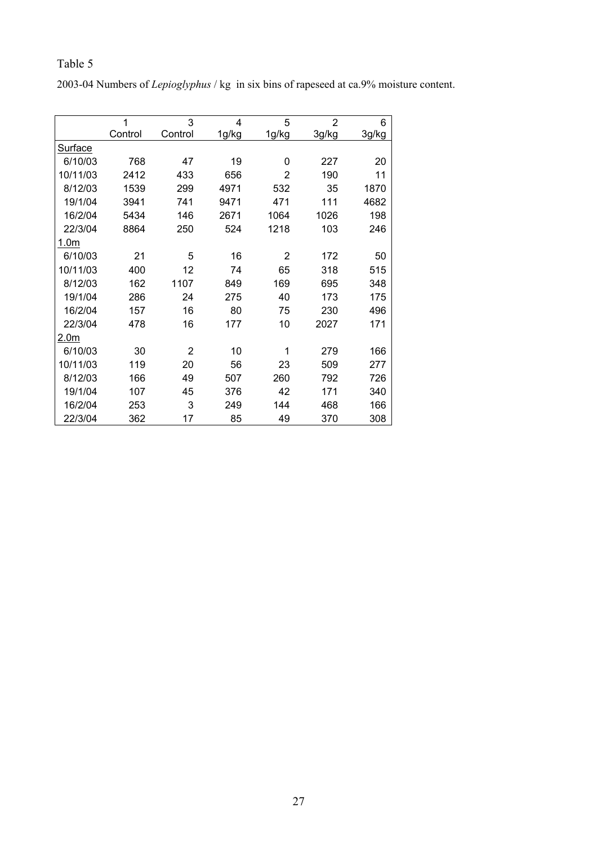2003-04 Numbers of *Lepioglyphus* / kg in six bins of rapeseed at ca.9% moisture content.

|                  | 1       | 3       | 4     | 5              | $\overline{2}$ | 6     |
|------------------|---------|---------|-------|----------------|----------------|-------|
|                  | Control | Control | 1g/kg | 1g/kg          | 3g/kg          | 3g/kg |
| Surface          |         |         |       |                |                |       |
| 6/10/03          | 768     | 47      | 19    | 0              | 227            | 20    |
| 10/11/03         | 2412    | 433     | 656   | $\overline{2}$ | 190            | 11    |
| 8/12/03          | 1539    | 299     | 4971  | 532            | 35             | 1870  |
| 19/1/04          | 3941    | 741     | 9471  | 471            | 111            | 4682  |
| 16/2/04          | 5434    | 146     | 2671  | 1064           | 1026           | 198   |
| 22/3/04          | 8864    | 250     | 524   | 1218           | 103            | 246   |
| 1.0 <sub>m</sub> |         |         |       |                |                |       |
| 6/10/03          | 21      | 5       | 16    | 2              | 172            | 50    |
| 10/11/03         | 400     | 12      | 74    | 65             | 318            | 515   |
| 8/12/03          | 162     | 1107    | 849   | 169            | 695            | 348   |
| 19/1/04          | 286     | 24      | 275   | 40             | 173            | 175   |
| 16/2/04          | 157     | 16      | 80    | 75             | 230            | 496   |
| 22/3/04          | 478     | 16      | 177   | 10             | 2027           | 171   |
| 2.0 <sub>m</sub> |         |         |       |                |                |       |
| 6/10/03          | 30      | 2       | 10    | 1              | 279            | 166   |
| 10/11/03         | 119     | 20      | 56    | 23             | 509            | 277   |
| 8/12/03          | 166     | 49      | 507   | 260            | 792            | 726   |
| 19/1/04          | 107     | 45      | 376   | 42             | 171            | 340   |
| 16/2/04          | 253     | 3       | 249   | 144            | 468            | 166   |
| 22/3/04          | 362     | 17      | 85    | 49             | 370            | 308   |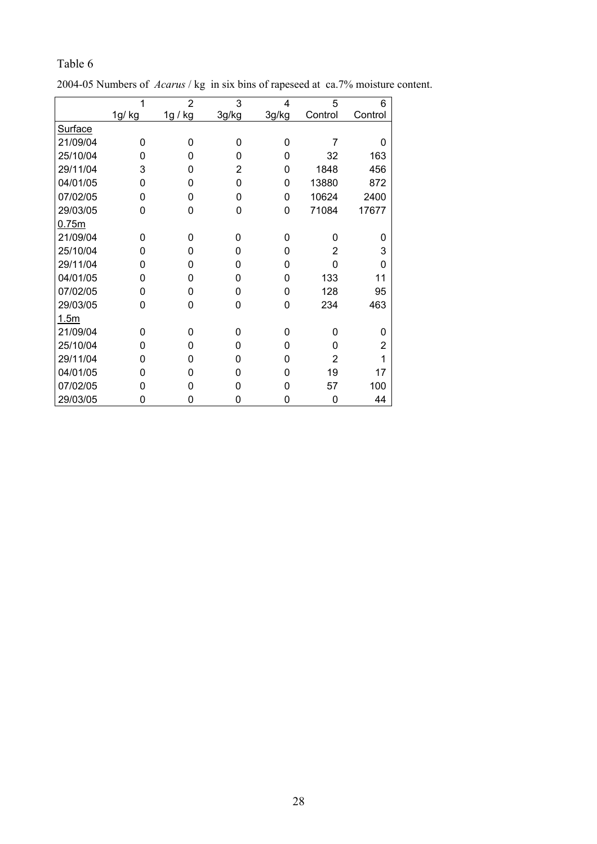|          |          | O              |                |          |                |                |
|----------|----------|----------------|----------------|----------|----------------|----------------|
|          | 1        | $\overline{2}$ | 3              | 4        | 5              | 6              |
|          | 1g/ kg   | 1g / kg        | 3g/kg          | 3g/kg    | Control        | Control        |
| Surface  |          |                |                |          |                |                |
| 21/09/04 | $\Omega$ | 0              | 0              | $\Omega$ | $\overline{7}$ | 0              |
| 25/10/04 | 0        | 0              | 0              | 0        | 32             | 163            |
| 29/11/04 | 3        | 0              | $\overline{2}$ | 0        | 1848           | 456            |
| 04/01/05 | 0        | 0              | 0              | 0        | 13880          | 872            |
| 07/02/05 | 0        | 0              | 0              | 0        | 10624          | 2400           |
| 29/03/05 | 0        | 0              | 0              | $\Omega$ | 71084          | 17677          |
| 0.75m    |          |                |                |          |                |                |
| 21/09/04 | $\Omega$ | 0              | 0              | 0        | $\Omega$       | 0              |
| 25/10/04 | 0        | 0              | 0              | 0        | 2              | 3              |
| 29/11/04 | 0        | 0              | 0              | 0        | $\Omega$       | 0              |
| 04/01/05 | 0        | 0              | 0              | 0        | 133            | 11             |
| 07/02/05 | 0        | 0              | 0              | 0        | 128            | 95             |
| 29/03/05 | 0        | 0              | 0              | 0        | 234            | 463            |
| 1.5m     |          |                |                |          |                |                |
| 21/09/04 | $\Omega$ | 0              | 0              | $\Omega$ | $\Omega$       | 0              |
| 25/10/04 | 0        | 0              | 0              | $\Omega$ | $\Omega$       | $\overline{2}$ |
| 29/11/04 | 0        | $\Omega$       | 0              | 0        | $\overline{2}$ | 1              |
| 04/01/05 | 0        | 0              | 0              | 0        | 19             | 17             |
| 07/02/05 | 0        | 0              | 0              | 0        | 57             | 100            |
| 29/03/05 | 0        | 0              | 0              | 0        | 0              | 44             |

2004-05 Numbers of *Acarus* / kg in six bins of rapeseed at ca.7% moisture content.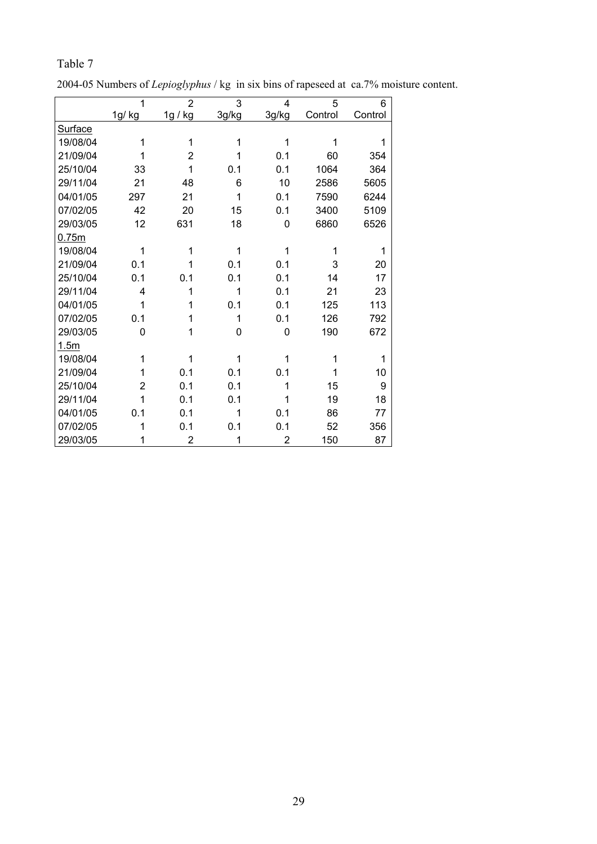|                | 1      | $\overline{2}$ | 3     | 4     | 5       | 6       |
|----------------|--------|----------------|-------|-------|---------|---------|
|                | 1g/ kg | 1g / kg        | 3g/kg | 3g/kg | Control | Control |
| <b>Surface</b> |        |                |       |       |         |         |
| 19/08/04       | 1      | 1              | 1     | 1     | 1       | 1       |
| 21/09/04       | 1      | $\overline{2}$ | 1     | 0.1   | 60      | 354     |
| 25/10/04       | 33     | 1              | 0.1   | 0.1   | 1064    | 364     |
| 29/11/04       | 21     | 48             | 6     | 10    | 2586    | 5605    |
| 04/01/05       | 297    | 21             | 1     | 0.1   | 7590    | 6244    |
| 07/02/05       | 42     | 20             | 15    | 0.1   | 3400    | 5109    |
| 29/03/05       | 12     | 631            | 18    | 0     | 6860    | 6526    |
| 0.75m          |        |                |       |       |         |         |
| 19/08/04       | 1      | 1              | 1     | 1     | 1       | 1       |
| 21/09/04       | 0.1    | 1              | 0.1   | 0.1   | 3       | 20      |
| 25/10/04       | 0.1    | 0.1            | 0.1   | 0.1   | 14      | 17      |
| 29/11/04       | 4      | 1              | 1     | 0.1   | 21      | 23      |
| 04/01/05       | 1      | 1              | 0.1   | 0.1   | 125     | 113     |
| 07/02/05       | 0.1    | 1              | 1     | 0.1   | 126     | 792     |
| 29/03/05       | 0      | 1              | 0     | 0     | 190     | 672     |
| 1.5m           |        |                |       |       |         |         |
| 19/08/04       | 1      | 1              | 1     | 1     | 1       | 1       |
| 21/09/04       | 1      | 0.1            | 0.1   | 0.1   | 1       | 10      |
| 25/10/04       | 2      | 0.1            | 0.1   | 1     | 15      | 9       |
| 29/11/04       | 1      | 0.1            | 0.1   | 1     | 19      | 18      |
| 04/01/05       | 0.1    | 0.1            | 1     | 0.1   | 86      | 77      |
| 07/02/05       | 1      | 0.1            | 0.1   | 0.1   | 52      | 356     |
| 29/03/05       | 1      | $\overline{2}$ | 1     | 2     | 150     | 87      |

Table 7

2004-05 Numbers of *Lepioglyphus* / kg in six bins of rapeseed at ca.7% moisture content.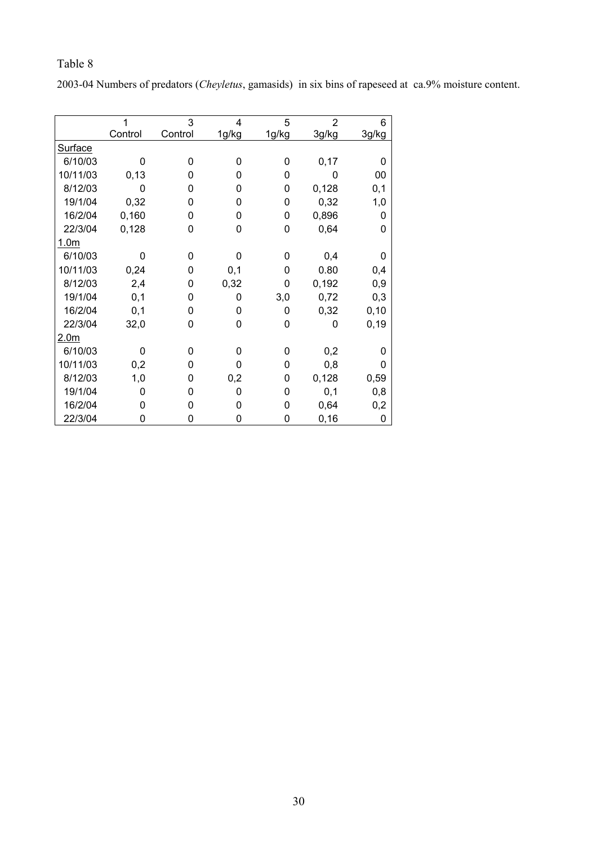2003-04 Numbers of predators (*Cheyletus*, gamasids) in six bins of rapeseed at ca.9% moisture content.

|                  |          | 3       | 4        | 5        | $\overline{2}$ | 6     |
|------------------|----------|---------|----------|----------|----------------|-------|
|                  | Control  | Control | 1g/kg    | 1g/kg    | 3g/kg          | 3g/kg |
| Surface          |          |         |          |          |                |       |
| 6/10/03          | n        | 0       | 0        | 0        | 0,17           | 0     |
| 10/11/03         | 0, 13    | 0       | n        | $\Omega$ | 0              | 00    |
| 8/12/03          | 0        | 0       | 0        | 0        | 0,128          | 0,1   |
| 19/1/04          | 0,32     | 0       | 0        | $\Omega$ | 0,32           | 1,0   |
| 16/2/04          | 0,160    | 0       | 0        | $\Omega$ | 0,896          | 0     |
| 22/3/04          | 0,128    | 0       | 0        | 0        | 0,64           | 0     |
| 1.0 <sub>m</sub> |          |         |          |          |                |       |
| 6/10/03          | 0        | 0       | O        | 0        | 0,4            | 0     |
| 10/11/03         | 0,24     | 0       | 0,1      | $\Omega$ | 0.80           | 0,4   |
| 8/12/03          | 2,4      | 0       | 0,32     | $\Omega$ | 0,192          | 0,9   |
| 19/1/04          | 0,1      | 0       | 0        | 3,0      | 0,72           | 0,3   |
| 16/2/04          | 0,1      | 0       | 0        | 0        | 0,32           | 0, 10 |
| 22/3/04          | 32,0     | 0       | $\Omega$ | $\Omega$ | $\Omega$       | 0, 19 |
| 2.0 <sub>m</sub> |          |         |          |          |                |       |
| 6/10/03          | ŋ        | 0       | ŋ        | $\Omega$ | 0,2            | 0     |
| 10/11/03         | 0,2      | 0       | ი        | $\Omega$ | 0,8            | 0     |
| 8/12/03          | 1,0      | 0       | 0,2      | 0        | 0,128          | 0,59  |
| 19/1/04          | $\Omega$ | 0       | 0        | $\Omega$ | 0,1            | 0,8   |
| 16/2/04          | 0        | 0       |          | 0        | 0,64           | 0,2   |
| 22/3/04          | 0        | 0       | 0        | 0        | 0, 16          | 0     |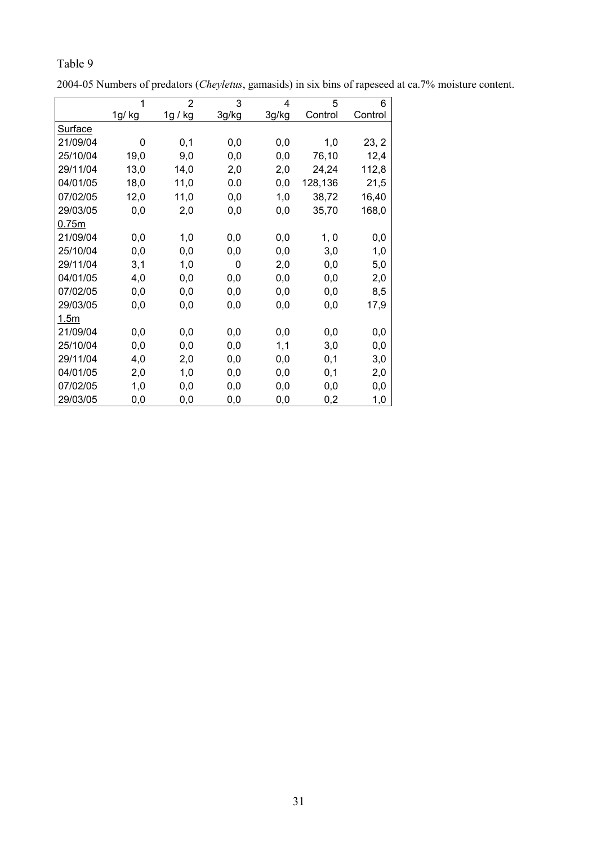|          | 1      | $\overline{2}$ | 3     | 4     | 5        | 6       |
|----------|--------|----------------|-------|-------|----------|---------|
|          | 1g/ kg | 1g / kg        | 3g/kg | 3g/kg | Control  | Control |
| Surface  |        |                |       |       |          |         |
| 21/09/04 | 0      | 0,1            | 0,0   | 0,0   | 1,0      | 23, 2   |
| 25/10/04 | 19,0   | 9,0            | 0,0   | 0,0   | 76,10    | 12,4    |
| 29/11/04 | 13,0   | 14,0           | 2,0   | 2,0   | 24,24    | 112,8   |
| 04/01/05 | 18,0   | 11,0           | 0.0   | 0,0   | 128,136  | 21,5    |
| 07/02/05 | 12,0   | 11,0           | 0,0   | 1,0   | 38,72    | 16,40   |
| 29/03/05 | 0,0    | 2,0            | 0,0   | 0,0   | 35,70    | 168,0   |
| 0.75m    |        |                |       |       |          |         |
| 21/09/04 | 0,0    | 1,0            | 0,0   | 0,0   | 1, 0     | 0,0     |
| 25/10/04 | 0,0    | 0,0            | 0,0   | 0,0   | 3,0      | 1,0     |
| 29/11/04 | 3,1    | 1,0            | 0     | 2,0   | 0,0      | 5,0     |
| 04/01/05 | 4,0    | 0,0            | 0,0   | 0,0   | 0,0      | 2,0     |
| 07/02/05 | 0,0    | 0,0            | 0,0   | 0,0   | 0,0      | 8,5     |
| 29/03/05 | 0,0    | 0,0            | 0,0   | 0,0   | 0,0      | 17,9    |
| 1.5m     |        |                |       |       |          |         |
| 21/09/04 | 0,0    | 0,0            | 0,0   | 0,0   | $_{0,0}$ | 0,0     |
| 25/10/04 | 0,0    | 0,0            | 0,0   | 1,1   | 3,0      | 0,0     |
| 29/11/04 | 4,0    | 2,0            | 0,0   | 0,0   | 0,1      | 3,0     |
| 04/01/05 | 2,0    | 1,0            | 0,0   | 0,0   | 0,1      | 2,0     |
| 07/02/05 | 1,0    | 0,0            | 0,0   | 0,0   | 0,0      | 0,0     |
| 29/03/05 | 0,0    | 0,0            | 0,0   | 0,0   | 0,2      | 1,0     |

2004-05 Numbers of predators (*Cheyletus*, gamasids) in six bins of rapeseed at ca.7% moisture content.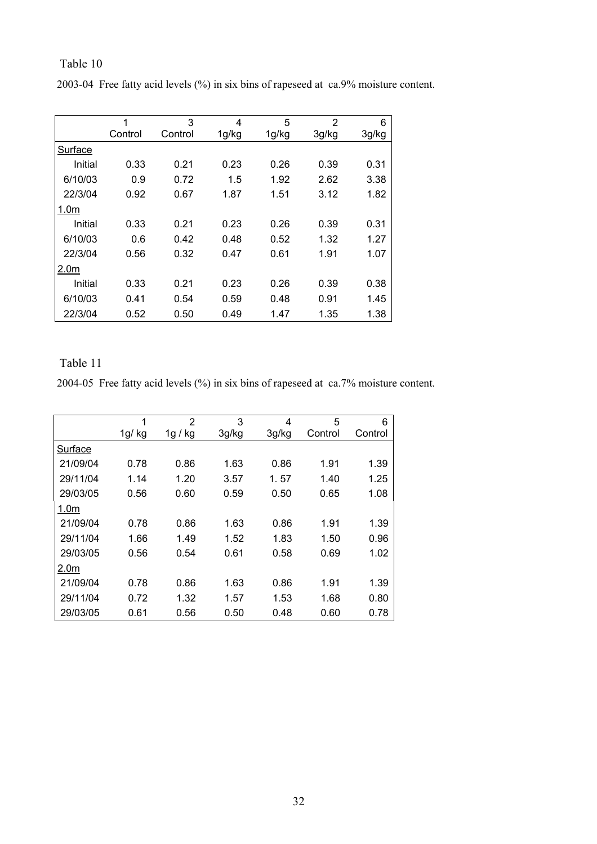| 2003-04 Free fatty acid levels (%) in six bins of rapeseed at ca.9% moisture content. |
|---------------------------------------------------------------------------------------|
|---------------------------------------------------------------------------------------|

|                  | 1       | 3       | 4     | 5     | $\overline{2}$ | 6     |
|------------------|---------|---------|-------|-------|----------------|-------|
|                  | Control | Control | 1g/kg | 1g/kg | 3g/kg          | 3g/kg |
| Surface          |         |         |       |       |                |       |
| Initial          | 0.33    | 0.21    | 0.23  | 0.26  | 0.39           | 0.31  |
| 6/10/03          | 0.9     | 0.72    | 1.5   | 1.92  | 2.62           | 3.38  |
| 22/3/04          | 0.92    | 0.67    | 1.87  | 1.51  | 3.12           | 1.82  |
| 1.0 <sub>m</sub> |         |         |       |       |                |       |
| Initial          | 0.33    | 0.21    | 0.23  | 0.26  | 0.39           | 0.31  |
| 6/10/03          | 0.6     | 0.42    | 0.48  | 0.52  | 1.32           | 1.27  |
| 22/3/04          | 0.56    | 0.32    | 0.47  | 0.61  | 1.91           | 1.07  |
| 2.0 <sub>m</sub> |         |         |       |       |                |       |
| Initial          | 0.33    | 0.21    | 0.23  | 0.26  | 0.39           | 0.38  |
| 6/10/03          | 0.41    | 0.54    | 0.59  | 0.48  | 0.91           | 1.45  |
| 22/3/04          | 0.52    | 0.50    | 0.49  | 1.47  | 1.35           | 1.38  |

## Table 11

2004-05 Free fatty acid levels (%) in six bins of rapeseed at ca.7% moisture content.

|                  | 1     | $\overline{2}$ | 3     | 4     | 5       | 6       |
|------------------|-------|----------------|-------|-------|---------|---------|
|                  | 1g/kg | 1g / kg        | 3g/kg | 3g/kg | Control | Control |
| Surface          |       |                |       |       |         |         |
| 21/09/04         | 0.78  | 0.86           | 1.63  | 0.86  | 1.91    | 1.39    |
| 29/11/04         | 1.14  | 1.20           | 3.57  | 1.57  | 1.40    | 1.25    |
| 29/03/05         | 0.56  | 0.60           | 0.59  | 0.50  | 0.65    | 1.08    |
| 1.0 <sub>m</sub> |       |                |       |       |         |         |
| 21/09/04         | 0.78  | 0.86           | 1.63  | 0.86  | 1.91    | 1.39    |
| 29/11/04         | 1.66  | 1.49           | 1.52  | 1.83  | 1.50    | 0.96    |
| 29/03/05         | 0.56  | 0.54           | 0.61  | 0.58  | 0.69    | 1.02    |
| 2.0 <sub>m</sub> |       |                |       |       |         |         |
| 21/09/04         | 0.78  | 0.86           | 1.63  | 0.86  | 1.91    | 1.39    |
| 29/11/04         | 0.72  | 1.32           | 1.57  | 1.53  | 1.68    | 0.80    |
| 29/03/05         | 0.61  | 0.56           | 0.50  | 0.48  | 0.60    | 0.78    |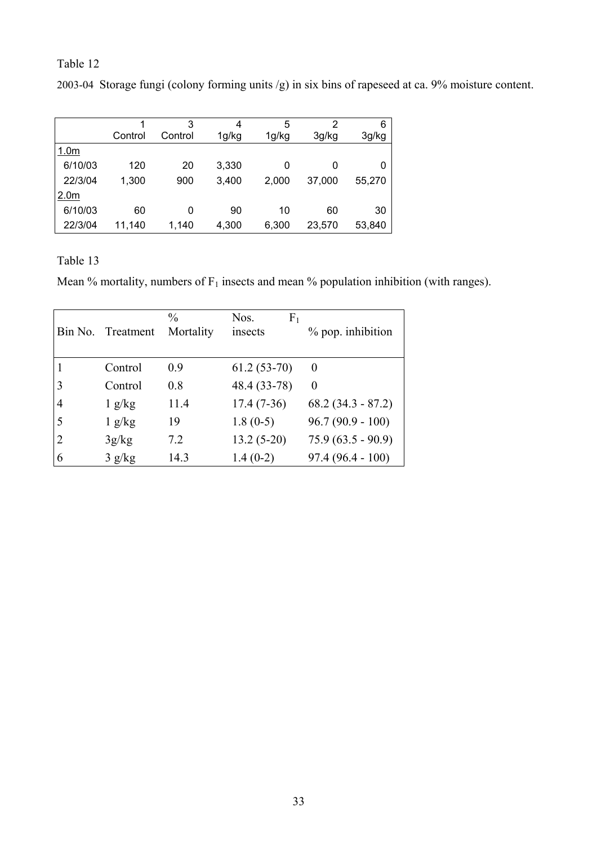2003-04 Storage fungi (colony forming units /g) in six bins of rapeseed at ca. 9% moisture content.

|                  |         | 3       | 4     | 5     | 2      | 6      |
|------------------|---------|---------|-------|-------|--------|--------|
|                  | Control | Control | 1g/kg | 1g/kg | 3g/kg  | 3g/kg  |
| 1.0 <sub>m</sub> |         |         |       |       |        |        |
| 6/10/03          | 120     | 20      | 3,330 | 0     | 0      | 0      |
| 22/3/04          | 1,300   | 900     | 3,400 | 2,000 | 37,000 | 55,270 |
| 2.0 <sub>m</sub> |         |         |       |       |        |        |
| 6/10/03          | 60      | 0       | 90    | 10    | 60     | 30     |
| 22/3/04          | 11,140  | 1,140   | 4,300 | 6,300 | 23,570 | 53,840 |

Table 13

Mean % mortality, numbers of  $F_1$  insects and mean % population inhibition (with ranges).

|                | Bin No. Treatment | $\frac{0}{0}$<br>Mortality | F <sub>1</sub><br>Nos.<br>insects | % pop. inhibition   |
|----------------|-------------------|----------------------------|-----------------------------------|---------------------|
|                | Control           | 0.9                        | $61.2(53-70)$                     | $\Omega$            |
| 3              | Control           | 0.8                        | 48.4 (33-78)                      | 0                   |
| 4              | $1 \frac{g}{kg}$  | 11.4                       | $17.4(7-36)$                      | $68.2(34.3 - 87.2)$ |
| 5              | 1 g/kg            | 19                         | $1.8(0-5)$                        | $96.7(90.9 - 100)$  |
| $\overline{2}$ | 3g/kg             | 7.2                        | $13.2(5-20)$                      | $75.9(63.5 - 90.9)$ |
| 6              | 3 g/kg            | 14.3                       | $1.4(0-2)$                        | $97.4(96.4-100)$    |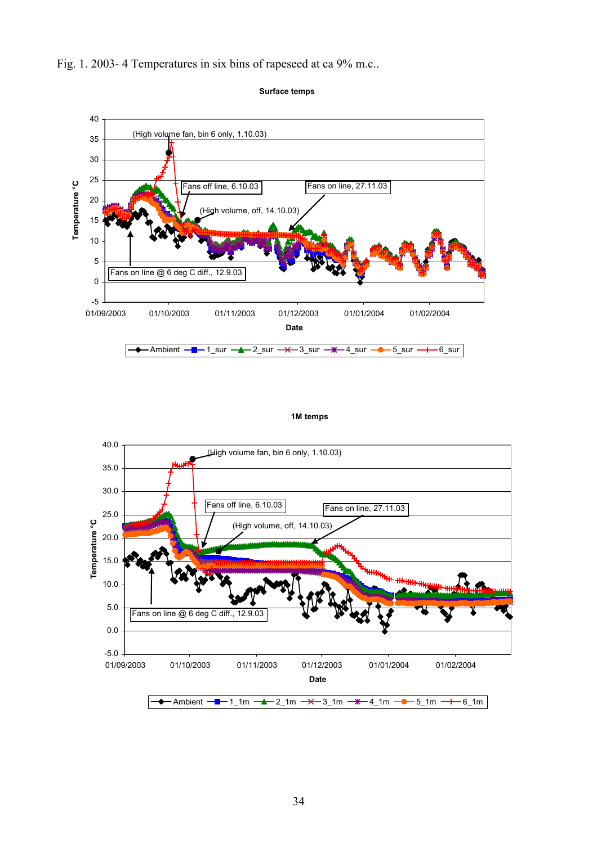





#### **1M temps**

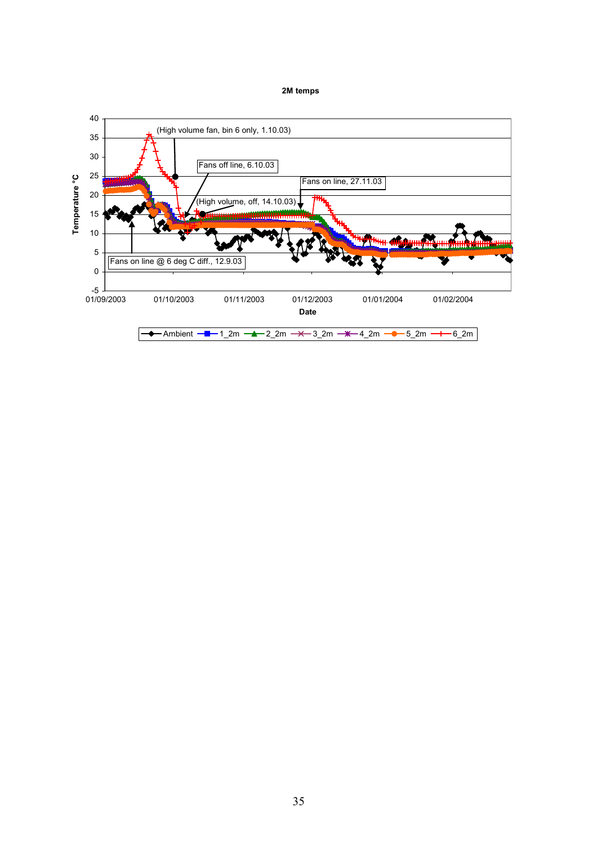#### **2M temps**

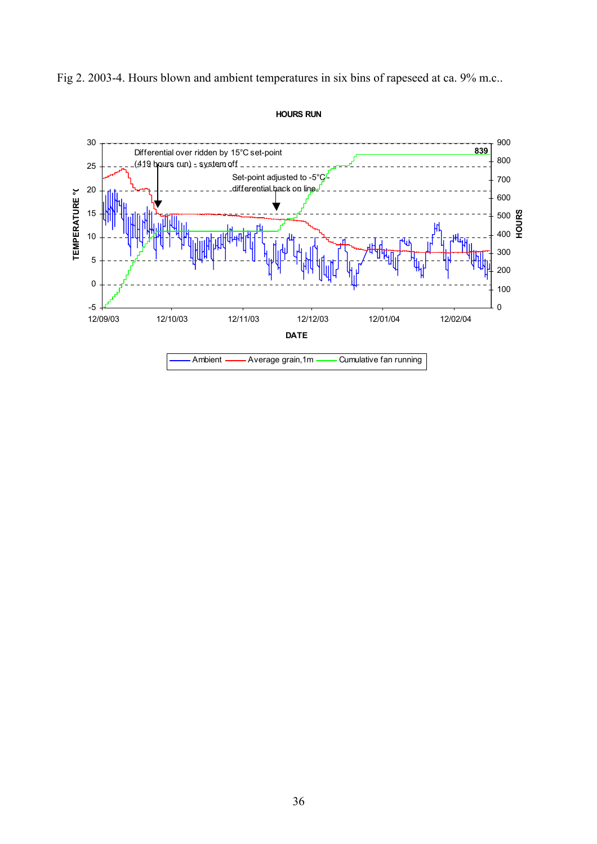

Fig 2. 2003-4. Hours blown and ambient temperatures in six bins of rapeseed at ca. 9% m.c..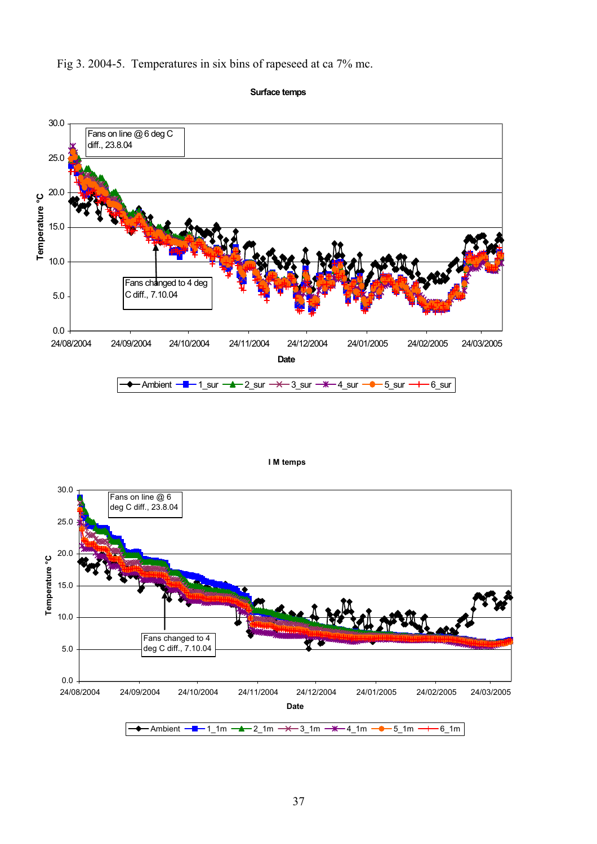

Fig 3. 2004-5. Temperatures in six bins of rapeseed at ca 7% mc.



**Surface temps**



**I M temps**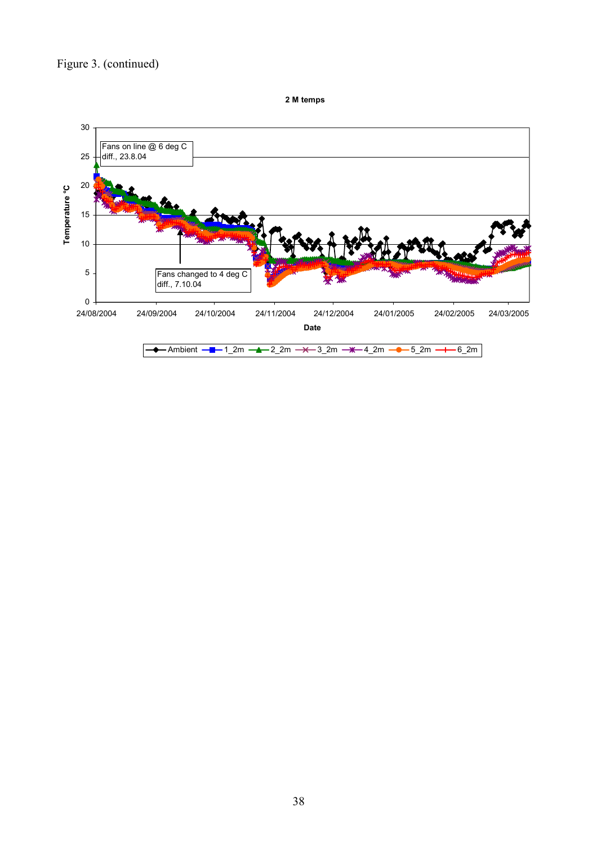## Figure 3. (continued)